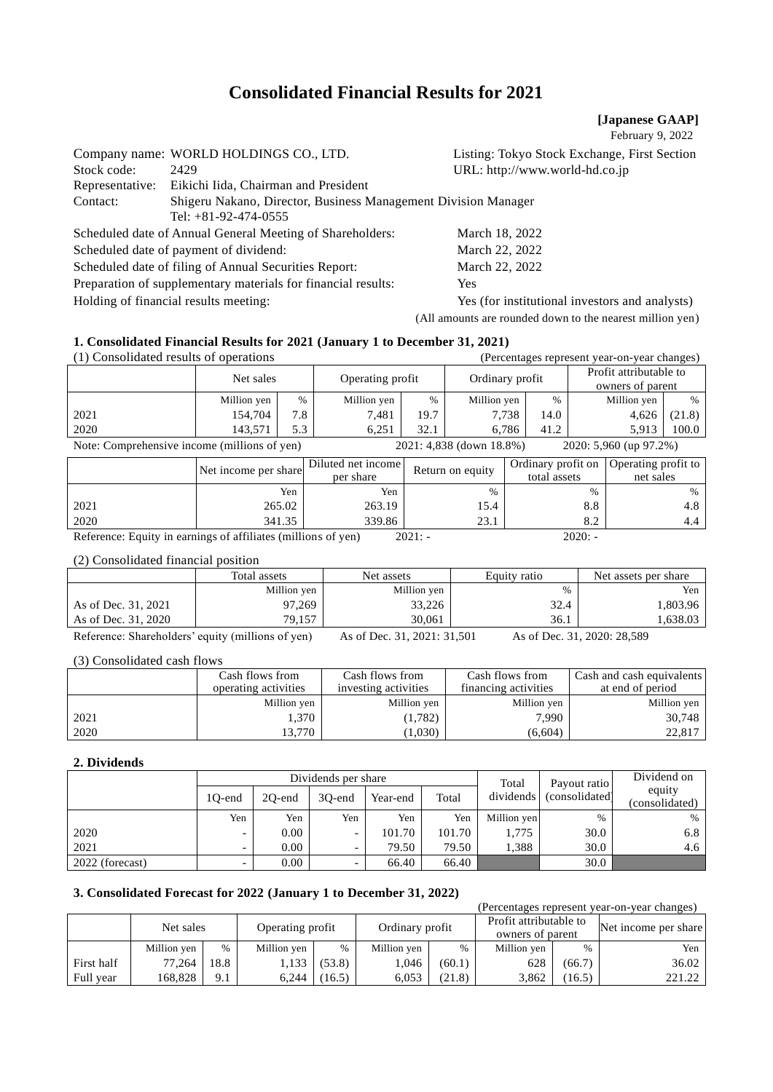# **Consolidated Financial Results for 2021**

### **[Japanese GAAP]**

February 9, 2022

|                 | Company name: WORLD HOLDINGS CO., LTD.                                                   | Listing: Tokyo Stock Exchange, First Section              |  |  |  |  |
|-----------------|------------------------------------------------------------------------------------------|-----------------------------------------------------------|--|--|--|--|
| Stock code:     | 2429                                                                                     | URL: http://www.world-hd.co.jp                            |  |  |  |  |
| Representative: | Eikichi Iida, Chairman and President                                                     |                                                           |  |  |  |  |
| Contact:        | Shigeru Nakano, Director, Business Management Division Manager<br>Tel: $+81-92-474-0555$ |                                                           |  |  |  |  |
|                 | Scheduled date of Annual General Meeting of Shareholders:                                | March 18, 2022                                            |  |  |  |  |
|                 | Scheduled date of payment of dividend:                                                   | March 22, 2022                                            |  |  |  |  |
|                 | Scheduled date of filing of Annual Securities Report:                                    | March 22, 2022                                            |  |  |  |  |
|                 | Preparation of supplementary materials for financial results:                            | <b>Yes</b>                                                |  |  |  |  |
|                 | Holding of financial results meeting:                                                    | Yes (for institutional investors and analysts)            |  |  |  |  |
|                 |                                                                                          | (All amounts are rounded down to the nearest million yen) |  |  |  |  |

## **1. Consolidated Financial Results for 2021 (January 1 to December 31, 2021)**

| (1) Consolidated results of operations       |             |      |                  | (Percentages represent year-on-year changes) |                          |      |                                            |        |
|----------------------------------------------|-------------|------|------------------|----------------------------------------------|--------------------------|------|--------------------------------------------|--------|
|                                              | Net sales   |      | Operating profit |                                              | Ordinary profit          |      | Profit attributable to<br>owners of parent |        |
|                                              | Million yen | $\%$ | Million yen      | $\%$                                         | Million yen              | $\%$ | Million yen                                | %      |
| 2021                                         | 154,704     | 7.8  | 7.481            | 19.7                                         | 7.738                    | 14.0 | 4.626                                      | (21.8) |
| 2020                                         | 143.571     | 5.3  | 6.251            | 32.1                                         | 6.786                    | 41.2 | 5.913                                      | 100.0  |
| Note: Comprehensive income (millions of yen) |             |      |                  |                                              | 2021: 4,838 (down 18.8%) |      | 2020: 5,960 (up 97.2%)                     |        |

|      | Net income per share | Diluted net income<br>per share | Return on equity | total assets           | Ordinary profit on   Operating profit to  <br>net sales |
|------|----------------------|---------------------------------|------------------|------------------------|---------------------------------------------------------|
|      | Yen                  | Yen                             | $\%$             | %                      | $\%$                                                    |
| 2021 | 265.02               | 263.19                          | 15.4             | $8.8\,$                | 4.8                                                     |
| 2020 | 341.35               | 339.86                          | 221<br>2J.I      | $\circ$ $\circ$<br>O.4 | 4.4                                                     |

Reference: Equity in earnings of affiliates (millions of yen) 2021: - 2020: -

(2) Consolidated financial position

|                     | Total assets       | Net assets                  | Equity ratio | Net assets per share |
|---------------------|--------------------|-----------------------------|--------------|----------------------|
|                     | Million yen        | Million yen                 | $\%$         | Yen                  |
| As of Dec. 31, 2021 | 97,269             | 33,226                      | 32.4         | .803.96              |
| As of Dec. 31, 2020 | 79.157             | 30,061                      | 36.1         | .638.03              |
| $ -$                | .<br>$\sim$ $\sim$ | $\sim$ $-$<br>------------- | $\sim$ $-$   | -------------        |

Reference: Shareholders' equity (millions of yen) As of Dec. 31, 2021: 31,501 As of Dec. 31, 2020: 28,589

(3) Consolidated cash flows

|      | Cash flows from<br>operating activities | Cash flows from<br>investing activities | Cash flows from<br>financing activities | Cash and cash equivalents<br>at end of period |
|------|-----------------------------------------|-----------------------------------------|-----------------------------------------|-----------------------------------------------|
|      | Million yen                             | Million yen                             | Million yen                             | Million yen                                   |
| 2021 | 1.370                                   | (1,782)                                 | 7,990                                   | 30,748                                        |
| 2020 | 3.770                                   | 1,030)                                  | (6,604)                                 | 22.817                                        |

# **2. Dividends**

|                 |                          |        | Dividends per share      |          | Total  | Payout ratio | Dividend on    |                          |
|-----------------|--------------------------|--------|--------------------------|----------|--------|--------------|----------------|--------------------------|
|                 | 10-end                   | 20-end | 30-end                   | Year-end | Total  | dividends    | (consolidated) | equity<br>(consolidated) |
|                 | Yen                      | Yen    | Yen                      | Yen      | Yen    | Million yen  | $\%$           | $\%$                     |
| 2020            | $\overline{\phantom{0}}$ | 0.00   | $\overline{\phantom{0}}$ | 101.70   | 101.70 | 1,775        | 30.0           | 6.8                      |
| 2021            | $\overline{\phantom{0}}$ | 0.00   |                          | 79.50    | 79.50  | 1.388        | 30.0           | 4.6                      |
| 2022 (forecast) |                          | 0.00   |                          | 66.40    | 66.40  |              | 30.0           |                          |

# **3. Consolidated Forecast for 2022 (January 1 to December 31, 2022)**

| (Percentages represent year-on-year changes) |                               |      |             |                 |             |                                            |             |                      |        |
|----------------------------------------------|-------------------------------|------|-------------|-----------------|-------------|--------------------------------------------|-------------|----------------------|--------|
|                                              | Operating profit<br>Net sales |      |             | Ordinary profit |             | Profit attributable to<br>owners of parent |             | Net income per share |        |
|                                              | Million yen                   | $\%$ | Million yen | $\%$            | Million yen | $\frac{0}{0}$                              | Million yen | $\frac{0}{0}$        | Yen    |
| First half                                   | 77,264                        | 18.8 | 1,133       | (53.8)          | 1.046       | (60.1)                                     | 628         | (66.7)               | 36.02  |
| Full year                                    | 168.828                       | 9.1  | 6.244       | (16.5)          | 6.053       | (21.8)                                     | 3.862       | (16.5)               | 221.22 |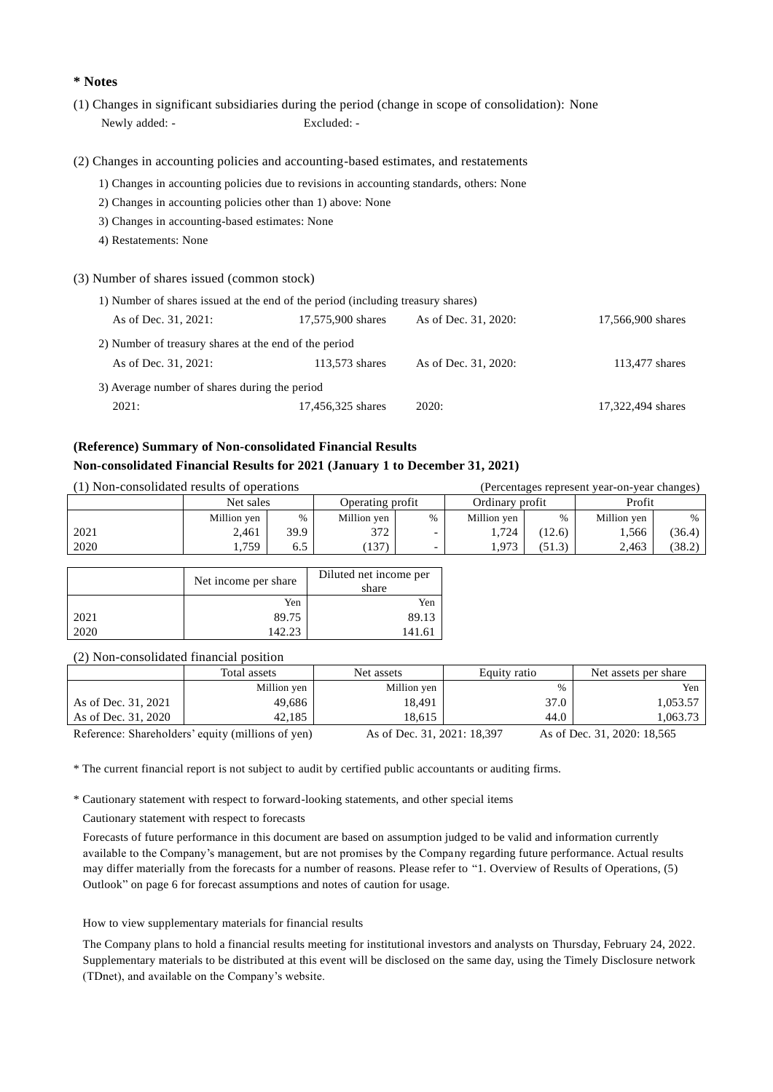# **\* Notes**

- (1) Changes in significant subsidiaries during the period (change in scope of consolidation): None Newly added: - Excluded: -
- (2) Changes in accounting policies and accounting-based estimates, and restatements
	- 1) Changes in accounting policies due to revisions in accounting standards, others: None
	- 2) Changes in accounting policies other than 1) above: None
	- 3) Changes in accounting-based estimates: None
	- 4) Restatements: None

#### (3) Number of shares issued (common stock)

| 1) Number of shares issued at the end of the period (including treasury shares) |                   |                      |                   |  |  |  |  |
|---------------------------------------------------------------------------------|-------------------|----------------------|-------------------|--|--|--|--|
| As of Dec. 31, 2021:                                                            | 17,575,900 shares | As of Dec. 31, 2020: | 17,566,900 shares |  |  |  |  |
| 2) Number of treasury shares at the end of the period                           |                   |                      |                   |  |  |  |  |
| As of Dec. 31, 2021:                                                            | 113,573 shares    | As of Dec. 31, 2020: | 113,477 shares    |  |  |  |  |
| 3) Average number of shares during the period                                   |                   |                      |                   |  |  |  |  |
| 2021:                                                                           | 17,456,325 shares | 2020:                | 17,322,494 shares |  |  |  |  |

# **(Reference) Summary of Non-consolidated Financial Results Non-consolidated Financial Results for 2021 (January 1 to December 31, 2021)**

| (1) Non-consolidated results of operations |             |      |                  | (Percentages represent year-on-year changes) |                 |        |             |        |
|--------------------------------------------|-------------|------|------------------|----------------------------------------------|-----------------|--------|-------------|--------|
|                                            | Net sales   |      | Operating profit |                                              | Ordinary profit |        | Profit      |        |
|                                            | Million yen | $\%$ | Million yen      | $\frac{0}{0}$                                | Million yen     | $\%$   | Million yen | $\%$   |
| 2021                                       | 2.461       | 39.9 | 372              |                                              | 1.724           | (12.6) | 1.566       | (36.4) |
| 2020                                       | .759        | 6.5  | (137)            |                                              | .973            | (51.3) | 2,463       | (38.2) |

|      | Net income per share | Diluted net income per<br>share |
|------|----------------------|---------------------------------|
|      | Yen                  | Yen                             |
| 2021 | 89.75                | 89.13                           |
| 2020 | 142.23               | 141.61                          |

(2) Non-consolidated financial position

|                     | Total assets                                      | Equity ratio<br>Net assets  |      | Net assets per share        |  |  |  |  |
|---------------------|---------------------------------------------------|-----------------------------|------|-----------------------------|--|--|--|--|
|                     | Million yen                                       | Million yen                 | $\%$ | Yen                         |  |  |  |  |
| As of Dec. 31, 2021 | 49,686                                            | 18.491                      | 37.0 | 1.053.57                    |  |  |  |  |
| As of Dec. 31, 2020 | 42.185                                            | 18.615                      | 44.0 | 1.063.73                    |  |  |  |  |
|                     | Reference: Shareholders' equity (millions of yen) | As of Dec. 31, 2021: 18,397 |      | As of Dec. 31, 2020: 18,565 |  |  |  |  |

\* The current financial report is not subject to audit by certified public accountants or auditing firms.

\* Cautionary statement with respect to forward-looking statements, and other special items

Cautionary statement with respect to forecasts

Forecasts of future performance in this document are based on assumption judged to be valid and information currently available to the Company's management, but are not promises by the Company regarding future performance. Actual results may differ materially from the forecasts for a number of reasons. Please refer to "1. Overview of Results of Operations, (5) Outlook" on page 6 for forecast assumptions and notes of caution for usage.

#### How to view supplementary materials for financial results

The Company plans to hold a financial results meeting for institutional investors and analysts on Thursday, February 24, 2022. Supplementary materials to be distributed at this event will be disclosed on the same day, using the Timely Disclosure network (TDnet), and available on the Company's website.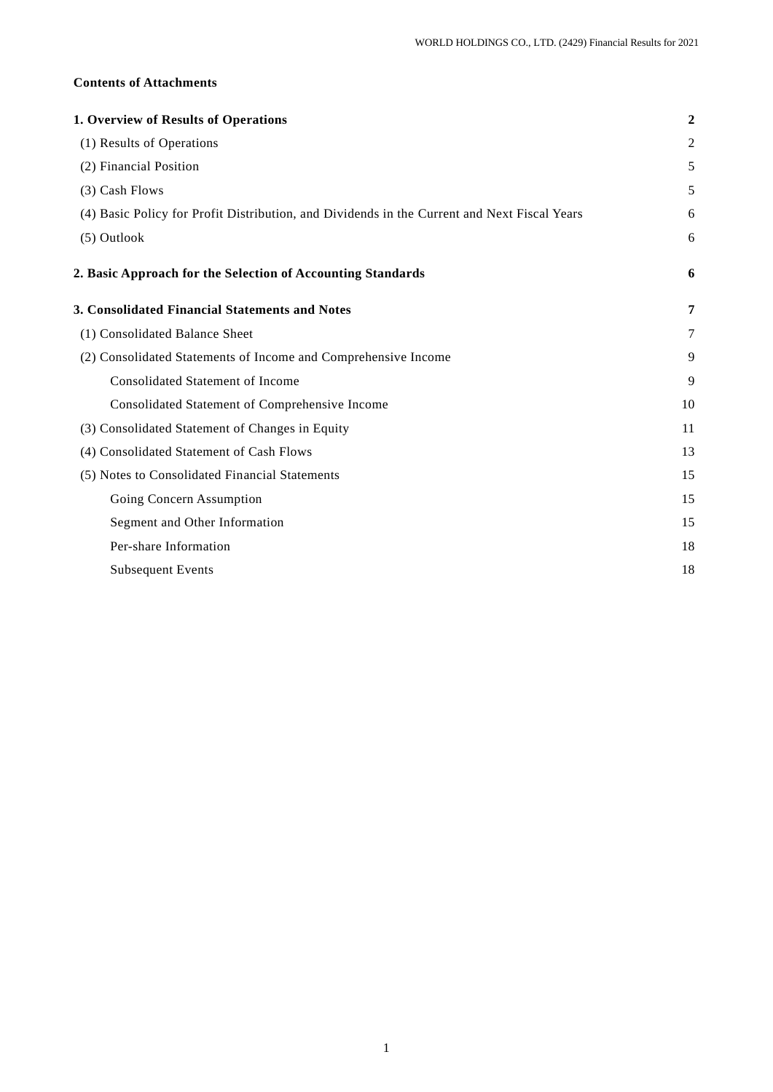# **Contents of Attachments**

| 1. Overview of Results of Operations                                                         | $\overline{2}$ |
|----------------------------------------------------------------------------------------------|----------------|
| (1) Results of Operations                                                                    | 2              |
| (2) Financial Position                                                                       | 5              |
| (3) Cash Flows                                                                               | 5              |
| (4) Basic Policy for Profit Distribution, and Dividends in the Current and Next Fiscal Years | 6              |
| (5) Outlook                                                                                  | 6              |
| 2. Basic Approach for the Selection of Accounting Standards                                  | 6              |
| 3. Consolidated Financial Statements and Notes                                               | 7              |
| (1) Consolidated Balance Sheet                                                               | 7              |
| (2) Consolidated Statements of Income and Comprehensive Income                               | 9              |
| <b>Consolidated Statement of Income</b>                                                      | 9              |
| Consolidated Statement of Comprehensive Income                                               | 10             |
| (3) Consolidated Statement of Changes in Equity                                              | 11             |
| (4) Consolidated Statement of Cash Flows                                                     | 13             |
| (5) Notes to Consolidated Financial Statements                                               | 15             |
| Going Concern Assumption                                                                     | 15             |
| Segment and Other Information                                                                | 15             |
| Per-share Information                                                                        | 18             |
| <b>Subsequent Events</b>                                                                     | 18             |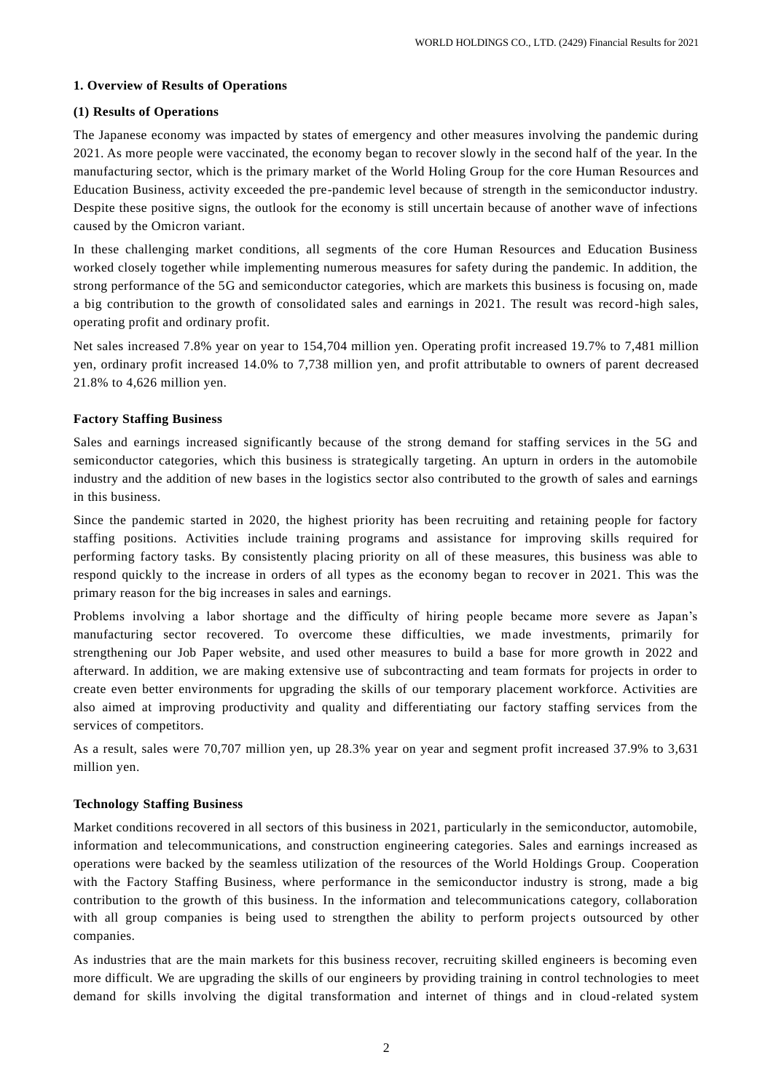# **1. Overview of Results of Operations**

## **(1) Results of Operations**

The Japanese economy was impacted by states of emergency and other measures involving the pandemic during 2021. As more people were vaccinated, the economy began to recover slowly in the second half of the year. In the manufacturing sector, which is the primary market of the World Holing Group for the core Human Resources and Education Business, activity exceeded the pre-pandemic level because of strength in the semiconductor industry. Despite these positive signs, the outlook for the economy is still uncertain because of another wave of infections caused by the Omicron variant.

In these challenging market conditions, all segments of the core Human Resources and Education Business worked closely together while implementing numerous measures for safety during the pandemic. In addition, the strong performance of the 5G and semiconductor categories, which are markets this business is focusing on, made a big contribution to the growth of consolidated sales and earnings in 2021. The result was record -high sales, operating profit and ordinary profit.

Net sales increased 7.8% year on year to 154,704 million yen. Operating profit increased 19.7% to 7,481 million yen, ordinary profit increased 14.0% to 7,738 million yen, and profit attributable to owners of parent decreased 21.8% to 4,626 million yen.

# **Factory Staffing Business**

Sales and earnings increased significantly because of the strong demand for staffing services in the 5G and semiconductor categories, which this business is strategically targeting. An upturn in orders in the automobile industry and the addition of new bases in the logistics sector also contributed to the growth of sales and earnings in this business.

Since the pandemic started in 2020, the highest priority has been recruiting and retaining people for factory staffing positions. Activities include training programs and assistance for improving skills required for performing factory tasks. By consistently placing priority on all of these measures, this business was able to respond quickly to the increase in orders of all types as the economy began to recover in 2021. This was the primary reason for the big increases in sales and earnings.

Problems involving a labor shortage and the difficulty of hiring people became more severe as Japan's manufacturing sector recovered. To overcome these difficulties, we made investments, primarily for strengthening our Job Paper website, and used other measures to build a base for more growth in 2022 and afterward. In addition, we are making extensive use of subcontracting and team formats for projects in order to create even better environments for upgrading the skills of our temporary placement workforce. Activities are also aimed at improving productivity and quality and differentiating our factory staffing services from the services of competitors.

As a result, sales were 70,707 million yen, up 28.3% year on year and segment profit increased 37.9% to 3,631 million yen.

# **Technology Staffing Business**

Market conditions recovered in all sectors of this business in 2021, particularly in the semiconductor, automobile, information and telecommunications, and construction engineering categories. Sales and earnings increased as operations were backed by the seamless utilization of the resources of the World Holdings Group. Cooperation with the Factory Staffing Business, where performance in the semiconductor industry is strong, made a big contribution to the growth of this business. In the information and telecommunications category, collaboration with all group companies is being used to strengthen the ability to perform projects outsourced by other companies.

As industries that are the main markets for this business recover, recruiting skilled engineers is becoming even more difficult. We are upgrading the skills of our engineers by providing training in control technologies to meet demand for skills involving the digital transformation and internet of things and in cloud -related system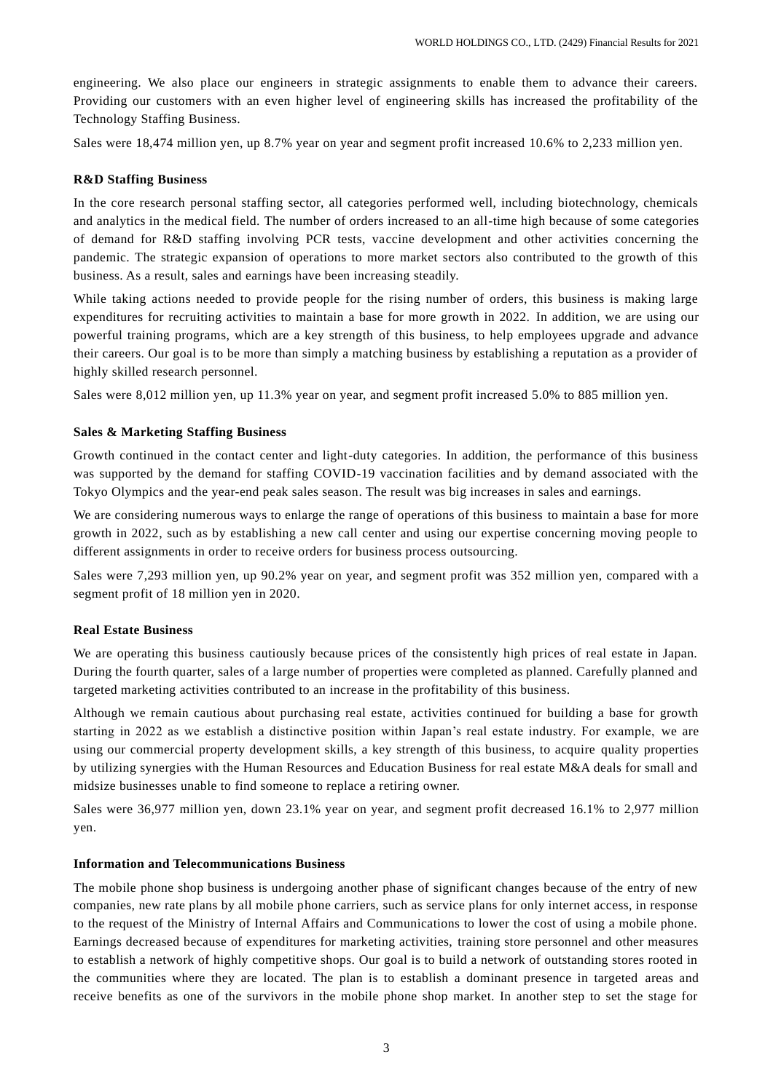engineering. We also place our engineers in strategic assignments to enable them to advance their careers. Providing our customers with an even higher level of engineering skills has increased the profitability of the Technology Staffing Business.

Sales were 18,474 million yen, up 8.7% year on year and segment profit increased 10.6% to 2,233 million yen.

### **R&D Staffing Business**

In the core research personal staffing sector, all categories performed well, including biotechnology, chemicals and analytics in the medical field. The number of orders increased to an all-time high because of some categories of demand for R&D staffing involving PCR tests, vaccine development and other activities concerning the pandemic. The strategic expansion of operations to more market sectors also contributed to the growth of this business. As a result, sales and earnings have been increasing steadily.

While taking actions needed to provide people for the rising number of orders, this business is making large expenditures for recruiting activities to maintain a base for more growth in 2022. In addition, we are using our powerful training programs, which are a key strength of this business, to help employees upgrade and advance their careers. Our goal is to be more than simply a matching business by establishing a reputation as a provider of highly skilled research personnel.

Sales were 8,012 million yen, up 11.3% year on year, and segment profit increased 5.0% to 885 million yen.

#### **Sales & Marketing Staffing Business**

Growth continued in the contact center and light-duty categories. In addition, the performance of this business was supported by the demand for staffing COVID-19 vaccination facilities and by demand associated with the Tokyo Olympics and the year-end peak sales season. The result was big increases in sales and earnings.

We are considering numerous ways to enlarge the range of operations of this business to maintain a base for more growth in 2022, such as by establishing a new call center and using our expertise concerning moving people to different assignments in order to receive orders for business process outsourcing.

Sales were 7,293 million yen, up 90.2% year on year, and segment profit was 352 million yen, compared with a segment profit of 18 million yen in 2020.

### **Real Estate Business**

We are operating this business cautiously because prices of the consistently high prices of real estate in Japan. During the fourth quarter, sales of a large number of properties were completed as planned. Carefully planned and targeted marketing activities contributed to an increase in the profitability of this business.

Although we remain cautious about purchasing real estate, activities continued for building a base for growth starting in 2022 as we establish a distinctive position within Japan's real estate industry. For example, we are using our commercial property development skills, a key strength of this business, to acquire quality properties by utilizing synergies with the Human Resources and Education Business for real estate M&A deals for small and midsize businesses unable to find someone to replace a retiring owner.

Sales were 36,977 million yen, down 23.1% year on year, and segment profit decreased 16.1% to 2,977 million yen.

#### **Information and Telecommunications Business**

The mobile phone shop business is undergoing another phase of significant changes because of the entry of new companies, new rate plans by all mobile phone carriers, such as service plans for only internet access, in response to the request of the Ministry of Internal Affairs and Communications to lower the cost of using a mobile phone. Earnings decreased because of expenditures for marketing activities, training store personnel and other measures to establish a network of highly competitive shops. Our goal is to build a network of outstanding stores rooted in the communities where they are located. The plan is to establish a dominant presence in targeted areas and receive benefits as one of the survivors in the mobile phone shop market. In another step to set the stage for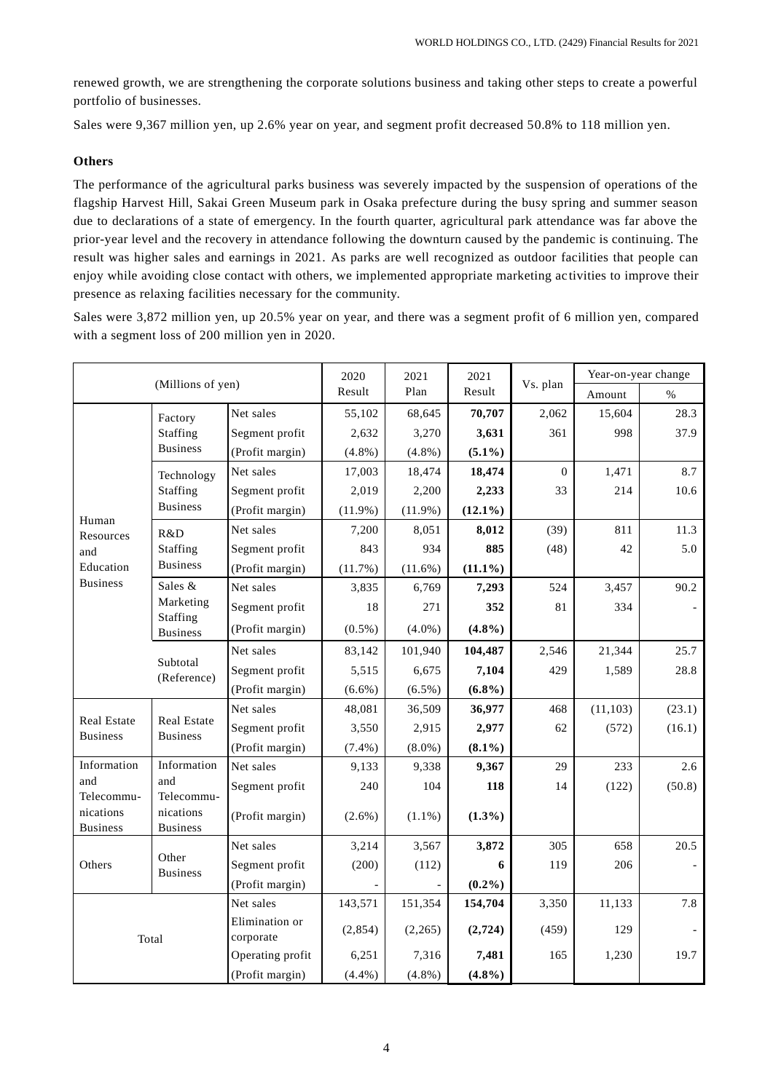renewed growth, we are strengthening the corporate solutions business and taking other steps to create a powerful portfolio of businesses.

Sales were 9,367 million yen, up 2.6% year on year, and segment profit decreased 50.8% to 118 million yen.

# **Others**

The performance of the agricultural parks business was severely impacted by the suspension of operations of the flagship Harvest Hill, Sakai Green Museum park in Osaka prefecture during the busy spring and summer season due to declarations of a state of emergency. In the fourth quarter, agricultural park attendance was far above the prior-year level and the recovery in attendance following the downturn caused by the pandemic is continuing. The result was higher sales and earnings in 2021. As parks are well recognized as outdoor facilities that people can enjoy while avoiding close contact with others, we implemented appropriate marketing ac tivities to improve their presence as relaxing facilities necessary for the community.

Sales were 3,872 million yen, up 20.5% year on year, and there was a segment profit of 6 million yen, compared with a segment loss of 200 million yen in 2020.

| (Millions of yen)              |                                | 2020                        | 2021       | 2021       |            | Year-on-year change |           |        |
|--------------------------------|--------------------------------|-----------------------------|------------|------------|------------|---------------------|-----------|--------|
|                                |                                |                             | Result     | Plan       | Result     | Vs. plan            | Amount    | $\%$   |
|                                | Factory                        | Net sales                   | 55,102     | 68,645     | 70,707     | 2,062               | 15,604    | 28.3   |
|                                | Staffing                       | Segment profit              | 2,632      | 3,270      | 3,631      | 361                 | 998       | 37.9   |
|                                | <b>Business</b>                | (Profit margin)             | $(4.8\%)$  | $(4.8\%)$  | $(5.1\%)$  |                     |           |        |
|                                | Technology                     | Net sales                   | 17,003     | 18,474     | 18,474     | $\theta$            | 1,471     | 8.7    |
|                                | Staffing                       | Segment profit              | 2,019      | 2,200      | 2,233      | 33                  | 214       | 10.6   |
|                                | <b>Business</b>                | (Profit margin)             | $(11.9\%)$ | $(11.9\%)$ | $(12.1\%)$ |                     |           |        |
| Human<br>Resources             | R&D                            | Net sales                   | 7,200      | 8,051      | 8,012      | (39)                | 811       | 11.3   |
| and                            | Staffing                       | Segment profit              | 843        | 934        | 885        | (48)                | 42        | 5.0    |
| Education                      | <b>Business</b>                | (Profit margin)             | (11.7%)    | $(11.6\%)$ | $(11.1\%)$ |                     |           |        |
| <b>Business</b>                | Sales &                        | Net sales                   | 3,835      | 6,769      | 7,293      | 524                 | 3,457     | 90.2   |
|                                | Marketing<br>Staffing          | Segment profit              | 18         | 271        | 352        | 81                  | 334       |        |
|                                | <b>Business</b>                | (Profit margin)             | $(0.5\%)$  | $(4.0\%)$  | $(4.8\%)$  |                     |           |        |
|                                |                                | Net sales                   | 83,142     | 101,940    | 104,487    | 2,546               | 21,344    | 25.7   |
|                                | Subtotal<br>(Reference)        | Segment profit              | 5,515      | 6,675      | 7,104      | 429                 | 1,589     | 28.8   |
|                                |                                | (Profit margin)             | $(6.6\%)$  | $(6.5\%)$  | $(6.8\%)$  |                     |           |        |
|                                |                                | Net sales                   | 48,081     | 36,509     | 36,977     | 468                 | (11, 103) | (23.1) |
| Real Estate<br><b>Business</b> | Real Estate<br><b>Business</b> | Segment profit              | 3,550      | 2,915      | 2,977      | 62                  | (572)     | (16.1) |
|                                |                                | (Profit margin)             | $(7.4\%)$  | $(8.0\%)$  | $(8.1\%)$  |                     |           |        |
| Information                    | Information                    | Net sales                   | 9,133      | 9,338      | 9,367      | 29                  | 233       | 2.6    |
| and                            | and                            | Segment profit              | 240        | 104        | 118        | 14                  | (122)     | (50.8) |
| Telecommu-<br>nications        | Telecommu-<br>nications        | (Profit margin)             | $(2.6\%)$  | $(1.1\%)$  | $(1.3\%)$  |                     |           |        |
| <b>Business</b>                | <b>Business</b>                |                             |            |            |            |                     |           |        |
|                                | Other                          | Net sales                   | 3,214      | 3,567      | 3,872      | 305                 | 658       | 20.5   |
| Others                         | <b>Business</b>                | Segment profit              | (200)      | (112)      | 6          | 119                 | 206       |        |
|                                |                                | (Profit margin)             |            |            | $(0.2\%)$  |                     |           |        |
| Total                          |                                | Net sales                   | 143,571    | 151,354    | 154,704    | 3,350               | 11,133    | 7.8    |
|                                |                                | Elimination or<br>corporate | (2,854)    | (2,265)    | (2,724)    | (459)               | 129       |        |
|                                |                                | Operating profit            | 6,251      | 7,316      | 7,481      | 165                 | 1,230     | 19.7   |
|                                |                                | (Profit margin)             | (4.4%)     | $(4.8\%)$  | $(4.8\%)$  |                     |           |        |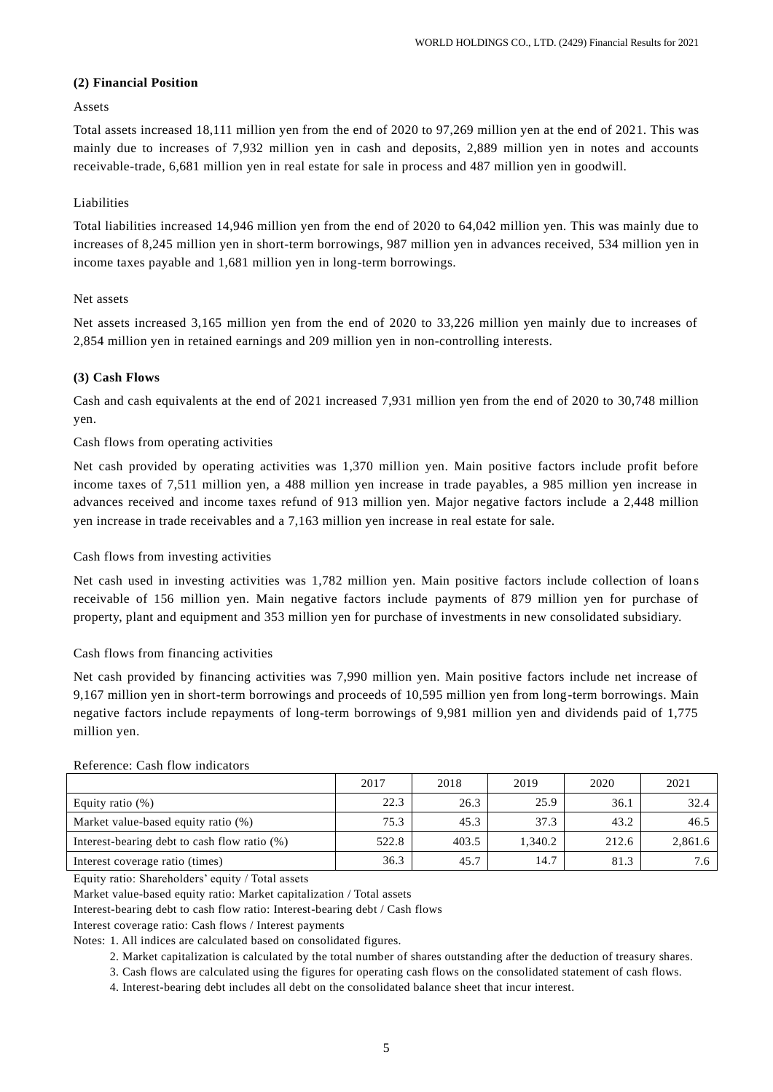# **(2) Financial Position**

## Assets

Total assets increased 18,111 million yen from the end of 2020 to 97,269 million yen at the end of 2021. This was mainly due to increases of 7,932 million yen in cash and deposits, 2,889 million yen in notes and accounts receivable-trade, 6,681 million yen in real estate for sale in process and 487 million yen in goodwill.

# Liabilities

Total liabilities increased 14,946 million yen from the end of 2020 to 64,042 million yen. This was mainly due to increases of 8,245 million yen in short-term borrowings, 987 million yen in advances received, 534 million yen in income taxes payable and 1,681 million yen in long-term borrowings.

### Net assets

Net assets increased 3,165 million yen from the end of 2020 to 33,226 million yen mainly due to increases of 2,854 million yen in retained earnings and 209 million yen in non-controlling interests.

#### **(3) Cash Flows**

Cash and cash equivalents at the end of 2021 increased 7,931 million yen from the end of 2020 to 30,748 million yen.

#### Cash flows from operating activities

Net cash provided by operating activities was 1,370 million yen. Main positive factors include profit before income taxes of 7,511 million yen, a 488 million yen increase in trade payables, a 985 million yen increase in advances received and income taxes refund of 913 million yen. Major negative factors include a 2,448 million yen increase in trade receivables and a 7,163 million yen increase in real estate for sale.

#### Cash flows from investing activities

Net cash used in investing activities was 1,782 million yen. Main positive factors include collection of loan s receivable of 156 million yen. Main negative factors include payments of 879 million yen for purchase of property, plant and equipment and 353 million yen for purchase of investments in new consolidated subsidiary.

### Cash flows from financing activities

Net cash provided by financing activities was 7,990 million yen. Main positive factors include net increase of 9,167 million yen in short-term borrowings and proceeds of 10,595 million yen from long-term borrowings. Main negative factors include repayments of long-term borrowings of 9,981 million yen and dividends paid of 1,775 million yen.

|                                              | 2017  | 2018  | 2019    | 2020  | 2021    |  |  |  |
|----------------------------------------------|-------|-------|---------|-------|---------|--|--|--|
| Equity ratio $(\%)$                          | 22.3  | 26.3  | 25.9    | 36.1  | 32.4    |  |  |  |
| Market value-based equity ratio (%)          | 75.3  | 45.3  | 37.3    | 43.2  | 46.5    |  |  |  |
| Interest-bearing debt to cash flow ratio (%) | 522.8 | 403.5 | 1.340.2 | 212.6 | 2,861.6 |  |  |  |
| Interest coverage ratio (times)              | 36.3  | 45.7  | 14.7    | 81.3  | 7.6     |  |  |  |

### Reference: Cash flow indicators

Equity ratio: Shareholders' equity / Total assets

Market value-based equity ratio: Market capitalization / Total assets

Interest-bearing debt to cash flow ratio: Interest-bearing debt / Cash flows

Interest coverage ratio: Cash flows / Interest payments

Notes: 1. All indices are calculated based on consolidated figures.

2. Market capitalization is calculated by the total number of shares outstanding after the deduction of treasury shares.

3. Cash flows are calculated using the figures for operating cash flows on the consolidated statement of cash flows.

4. Interest-bearing debt includes all debt on the consolidated balance sheet that incur interest.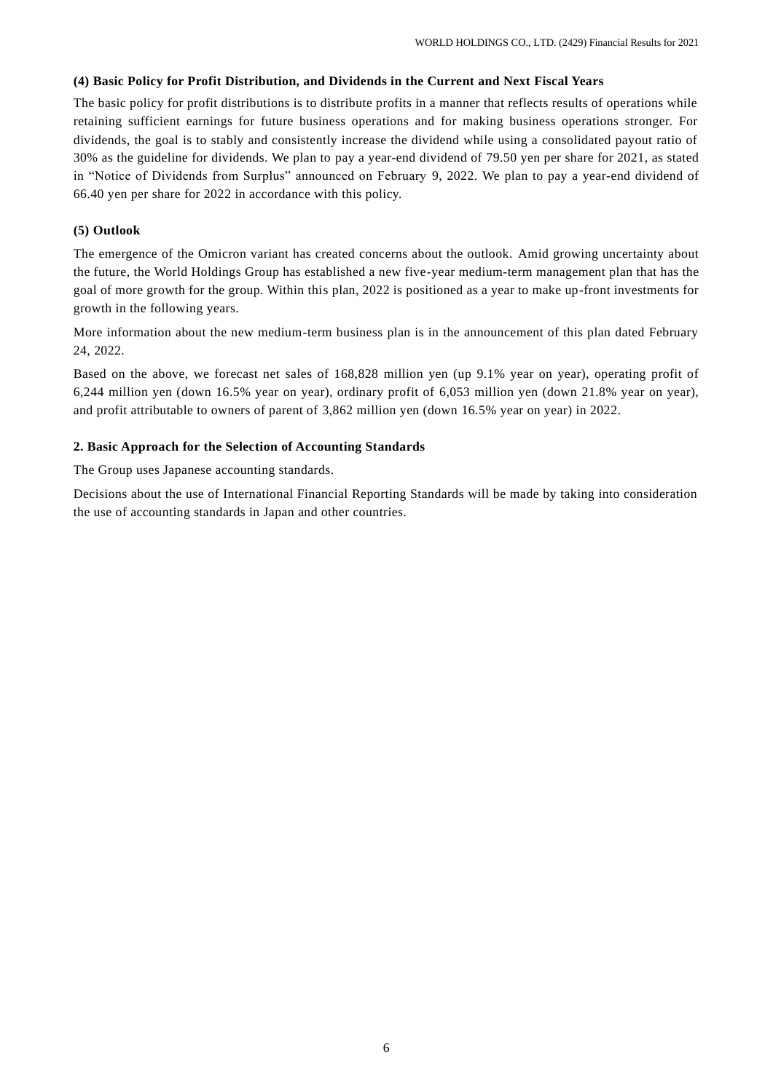### **(4) Basic Policy for Profit Distribution, and Dividends in the Current and Next Fiscal Years**

The basic policy for profit distributions is to distribute profits in a manner that reflects results of operations while retaining sufficient earnings for future business operations and for making business operations stronger. For dividends, the goal is to stably and consistently increase the dividend while using a consolidated payout ratio of 30% as the guideline for dividends. We plan to pay a year-end dividend of 79.50 yen per share for 2021, as stated in "Notice of Dividends from Surplus" announced on February 9, 2022. We plan to pay a year-end dividend of 66.40 yen per share for 2022 in accordance with this policy.

## **(5) Outlook**

The emergence of the Omicron variant has created concerns about the outlook. Amid growing uncertainty about the future, the World Holdings Group has established a new five-year medium-term management plan that has the goal of more growth for the group. Within this plan, 2022 is positioned as a year to make up-front investments for growth in the following years.

More information about the new medium-term business plan is in the announcement of this plan dated February 24, 2022.

Based on the above, we forecast net sales of 168,828 million yen (up 9.1% year on year), operating profit of 6,244 million yen (down 16.5% year on year), ordinary profit of 6,053 million yen (down 21.8% year on year), and profit attributable to owners of parent of 3,862 million yen (down 16.5% year on year) in 2022.

### **2. Basic Approach for the Selection of Accounting Standards**

The Group uses Japanese accounting standards.

Decisions about the use of International Financial Reporting Standards will be made by taking into consideration the use of accounting standards in Japan and other countries.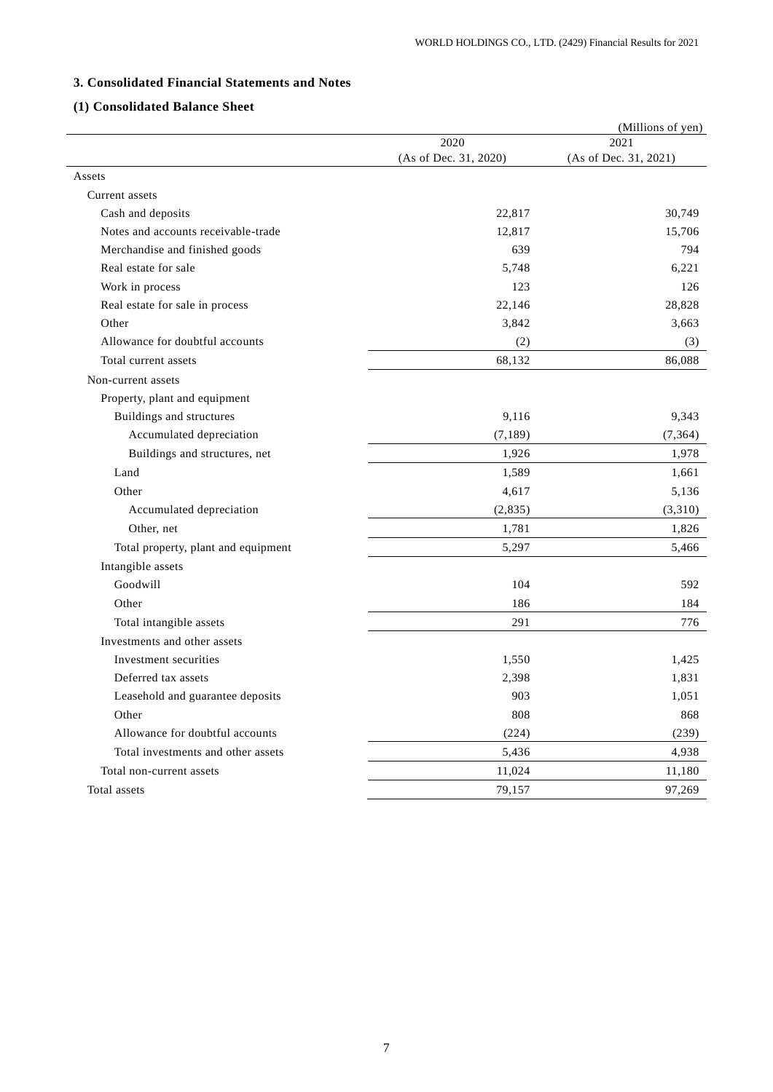# **3. Consolidated Financial Statements and Notes**

# **(1) Consolidated Balance Sheet**

|                                     | 2020                  | (Millions of yen)<br>2021 |
|-------------------------------------|-----------------------|---------------------------|
|                                     | (As of Dec. 31, 2020) | (As of Dec. 31, 2021)     |
| Assets                              |                       |                           |
| Current assets                      |                       |                           |
| Cash and deposits                   | 22,817                | 30,749                    |
| Notes and accounts receivable-trade | 12,817                | 15,706                    |
| Merchandise and finished goods      | 639                   | 794                       |
| Real estate for sale                | 5,748                 | 6,221                     |
| Work in process                     | 123                   | 126                       |
| Real estate for sale in process     | 22,146                | 28,828                    |
| Other                               | 3,842                 | 3,663                     |
| Allowance for doubtful accounts     | (2)                   | (3)                       |
| Total current assets                | 68,132                | 86,088                    |
| Non-current assets                  |                       |                           |
| Property, plant and equipment       |                       |                           |
| Buildings and structures            | 9,116                 | 9,343                     |
| Accumulated depreciation            | (7, 189)              | (7, 364)                  |
| Buildings and structures, net       | 1,926                 | 1,978                     |
| Land                                | 1,589                 | 1,661                     |
| Other                               | 4,617                 | 5,136                     |
| Accumulated depreciation            | (2, 835)              | (3,310)                   |
| Other, net                          | 1,781                 | 1,826                     |
| Total property, plant and equipment | 5,297                 | 5,466                     |
| Intangible assets                   |                       |                           |
| Goodwill                            | 104                   | 592                       |
| Other                               | 186                   | 184                       |
| Total intangible assets             | 291                   | 776                       |
| Investments and other assets        |                       |                           |
| Investment securities               | 1,550                 | 1,425                     |
| Deferred tax assets                 | 2,398                 | 1,831                     |
| Leasehold and guarantee deposits    | 903                   | 1,051                     |
| Other                               | 808                   | 868                       |
| Allowance for doubtful accounts     | (224)                 | (239)                     |
| Total investments and other assets  | 5,436                 | 4,938                     |
| Total non-current assets            | 11,024                | 11,180                    |
| Total assets                        | 79,157                | 97,269                    |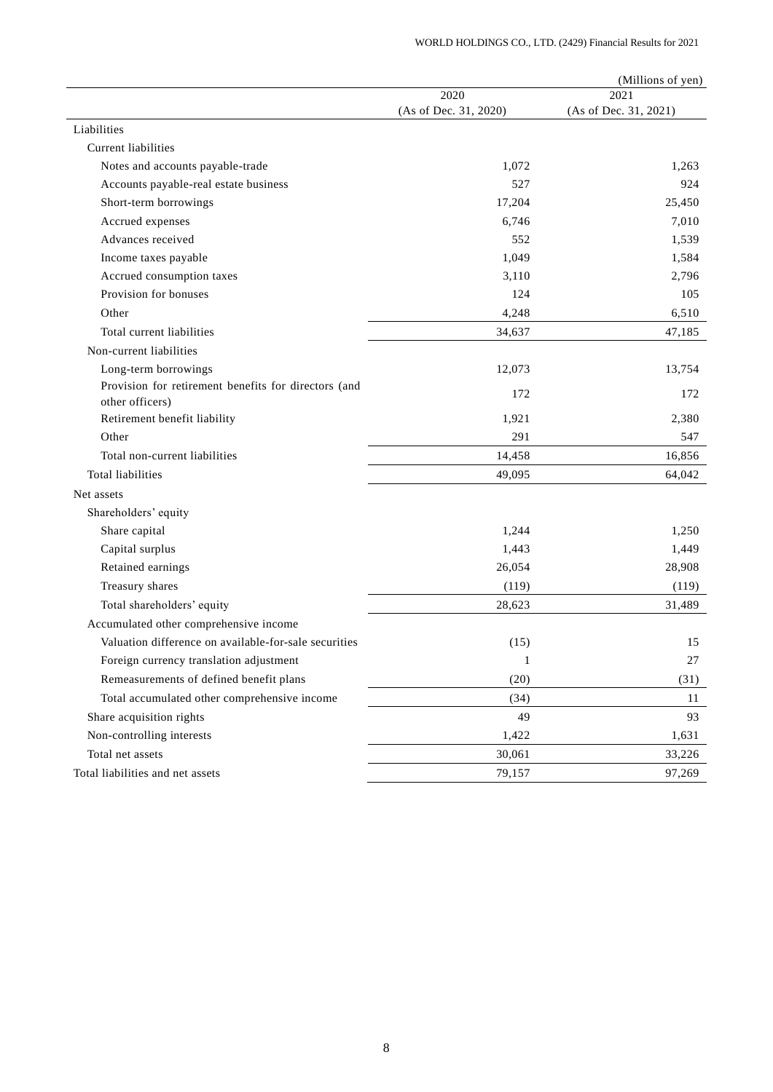|                                                                              |                       | (Millions of yen)     |
|------------------------------------------------------------------------------|-----------------------|-----------------------|
|                                                                              | 2020                  | 2021                  |
|                                                                              | (As of Dec. 31, 2020) | (As of Dec. 31, 2021) |
| Liabilities<br><b>Current liabilities</b>                                    |                       |                       |
|                                                                              |                       |                       |
| Notes and accounts payable-trade                                             | 1,072                 | 1,263                 |
| Accounts payable-real estate business                                        | 527                   | 924                   |
| Short-term borrowings                                                        | 17,204<br>6,746       | 25,450<br>7,010       |
| Accrued expenses                                                             |                       |                       |
| Advances received                                                            | 552                   | 1,539                 |
| Income taxes payable                                                         | 1,049                 | 1,584<br>2,796        |
| Accrued consumption taxes                                                    | 3,110                 |                       |
| Provision for bonuses                                                        | 124                   | 105                   |
| Other                                                                        | 4,248                 | 6,510                 |
| Total current liabilities                                                    | 34,637                | 47,185                |
| Non-current liabilities                                                      |                       |                       |
| Long-term borrowings<br>Provision for retirement benefits for directors (and | 12,073                | 13,754                |
| other officers)                                                              | 172                   | 172                   |
| Retirement benefit liability                                                 | 1,921                 | 2,380                 |
| Other                                                                        | 291                   | 547                   |
| Total non-current liabilities                                                | 14,458                | 16,856                |
| <b>Total liabilities</b>                                                     | 49,095                | 64,042                |
| Net assets                                                                   |                       |                       |
| Shareholders' equity                                                         |                       |                       |
| Share capital                                                                | 1,244                 | 1,250                 |
| Capital surplus                                                              | 1,443                 | 1,449                 |
| Retained earnings                                                            | 26,054                | 28,908                |
| Treasury shares                                                              | (119)                 | (119)                 |
| Total shareholders' equity                                                   | 28,623                | 31,489                |
| Accumulated other comprehensive income                                       |                       |                       |
| Valuation difference on available-for-sale securities                        | (15)                  | 15                    |
| Foreign currency translation adjustment                                      | $\mathbf{1}$          | 27                    |
| Remeasurements of defined benefit plans                                      | (20)                  | (31)                  |
| Total accumulated other comprehensive income                                 | (34)                  | 11                    |
| Share acquisition rights                                                     | 49                    | 93                    |
| Non-controlling interests                                                    | 1,422                 | 1,631                 |
| Total net assets                                                             | 30,061                | 33,226                |
| Total liabilities and net assets                                             | 79,157                | 97,269                |
|                                                                              |                       |                       |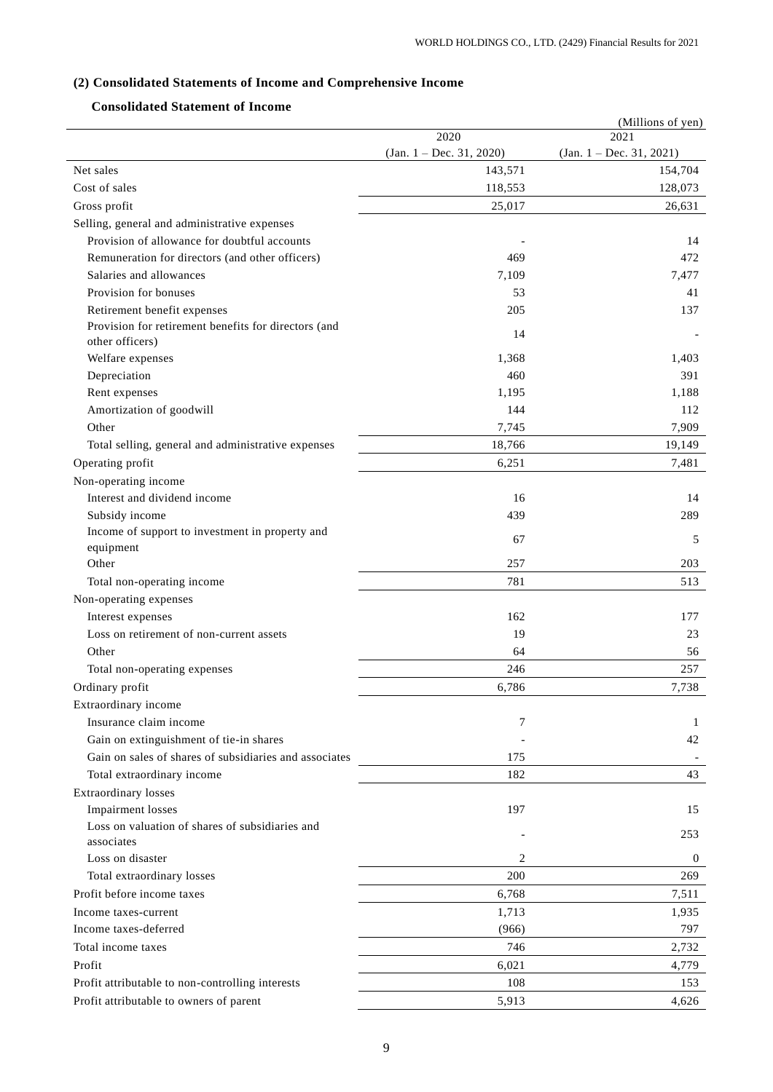# **(2) Consolidated Statements of Income and Comprehensive Income**

# **Consolidated Statement of Income**

|                                                              |                            | (Millions of yen)          |
|--------------------------------------------------------------|----------------------------|----------------------------|
|                                                              | 2020                       | 2021                       |
|                                                              | $(Jan. 1 - Dec. 31, 2020)$ | $(Jan. 1 - Dec. 31, 2021)$ |
| Net sales                                                    | 143,571                    | 154,704                    |
| Cost of sales                                                | 118,553                    | 128,073                    |
| Gross profit                                                 | 25,017                     | 26,631                     |
| Selling, general and administrative expenses                 |                            |                            |
| Provision of allowance for doubtful accounts                 |                            | 14                         |
| Remuneration for directors (and other officers)              | 469                        | 472                        |
| Salaries and allowances                                      | 7,109                      | 7,477                      |
| Provision for bonuses                                        | 53                         | 41                         |
| Retirement benefit expenses                                  | 205                        | 137                        |
| Provision for retirement benefits for directors (and         | 14                         |                            |
| other officers)                                              |                            |                            |
| Welfare expenses                                             | 1,368                      | 1,403                      |
| Depreciation                                                 | 460                        | 391                        |
| Rent expenses                                                | 1,195                      | 1,188                      |
| Amortization of goodwill                                     | 144                        | 112                        |
| Other                                                        | 7,745                      | 7,909                      |
| Total selling, general and administrative expenses           | 18,766                     | 19,149                     |
| Operating profit                                             | 6,251                      | 7,481                      |
| Non-operating income                                         |                            |                            |
| Interest and dividend income                                 | 16                         | 14                         |
| Subsidy income                                               | 439                        | 289                        |
| Income of support to investment in property and<br>equipment | 67                         | 5                          |
| Other                                                        | 257                        | 203                        |
| Total non-operating income                                   | 781                        | 513                        |
| Non-operating expenses                                       |                            |                            |
| Interest expenses                                            | 162                        | 177                        |
| Loss on retirement of non-current assets                     | 19                         | 23                         |
| Other                                                        | 64                         | 56                         |
| Total non-operating expenses                                 | 246                        | 257                        |
| Ordinary profit                                              | 6,786                      | 7,738                      |
| Extraordinary income                                         |                            |                            |
| Insurance claim income                                       | 7                          | 1                          |
| Gain on extinguishment of tie-in shares                      |                            | 42                         |
| Gain on sales of shares of subsidiaries and associates       | 175                        |                            |
| Total extraordinary income                                   | 182                        | 43                         |
| Extraordinary losses                                         |                            |                            |
| <b>Impairment</b> losses                                     | 197                        | 15                         |
| Loss on valuation of shares of subsidiaries and              |                            |                            |
| associates                                                   |                            | 253                        |
| Loss on disaster                                             | 2                          | $\boldsymbol{0}$           |
| Total extraordinary losses                                   | 200                        | 269                        |
| Profit before income taxes                                   | 6,768                      | 7,511                      |
| Income taxes-current                                         | 1,713                      | 1,935                      |
| Income taxes-deferred                                        | (966)                      | 797                        |
| Total income taxes                                           | 746                        | 2,732                      |
| Profit                                                       | 6,021                      | 4,779                      |
| Profit attributable to non-controlling interests             | 108                        | 153                        |
| Profit attributable to owners of parent                      | 5,913                      | 4,626                      |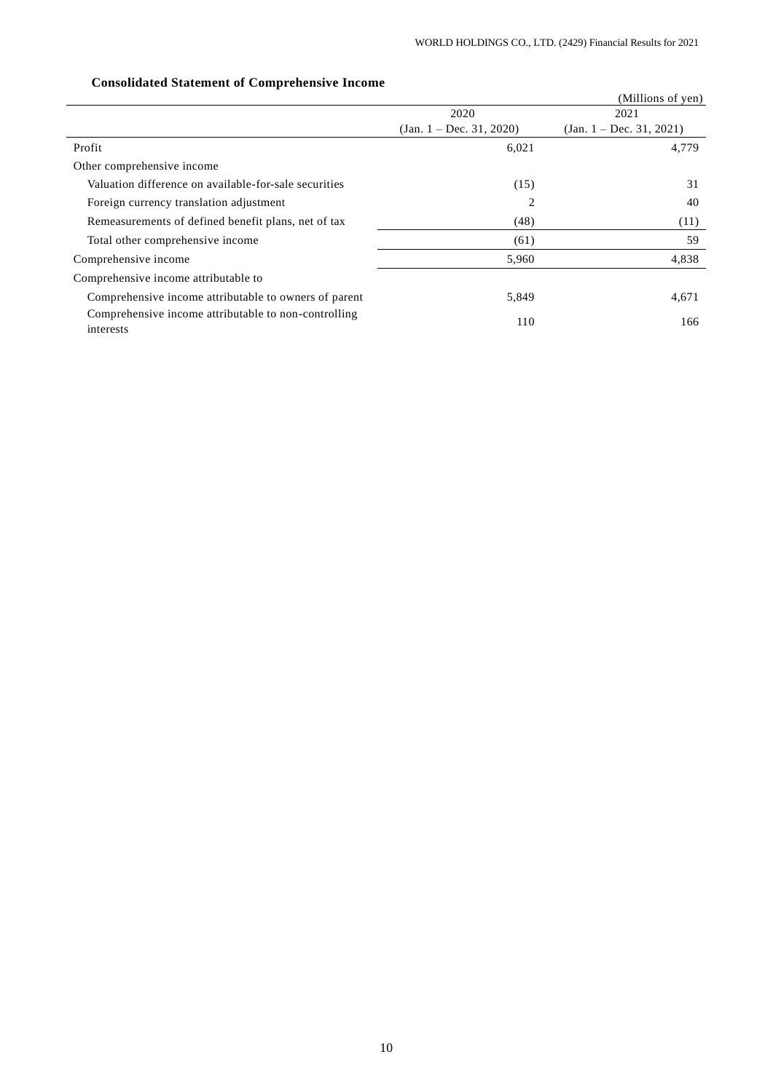|                                                                   |                            | (Millions of yen)          |
|-------------------------------------------------------------------|----------------------------|----------------------------|
|                                                                   | 2020                       | 2021                       |
|                                                                   | $(Jan. 1 - Dec. 31, 2020)$ | $(Jan. 1 - Dec. 31, 2021)$ |
| Profit                                                            | 6,021                      | 4,779                      |
| Other comprehensive income                                        |                            |                            |
| Valuation difference on available-for-sale securities             | (15)                       | 31                         |
| Foreign currency translation adjustment                           | 2                          | 40                         |
| Remeasurements of defined benefit plans, net of tax               | (48)                       | (11)                       |
| Total other comprehensive income                                  | (61)                       | 59                         |
| Comprehensive income                                              | 5,960                      | 4,838                      |
| Comprehensive income attributable to                              |                            |                            |
| Comprehensive income attributable to owners of parent             | 5,849                      | 4,671                      |
| Comprehensive income attributable to non-controlling<br>interests | 110                        | 166                        |

# **Consolidated Statement of Comprehensive Income**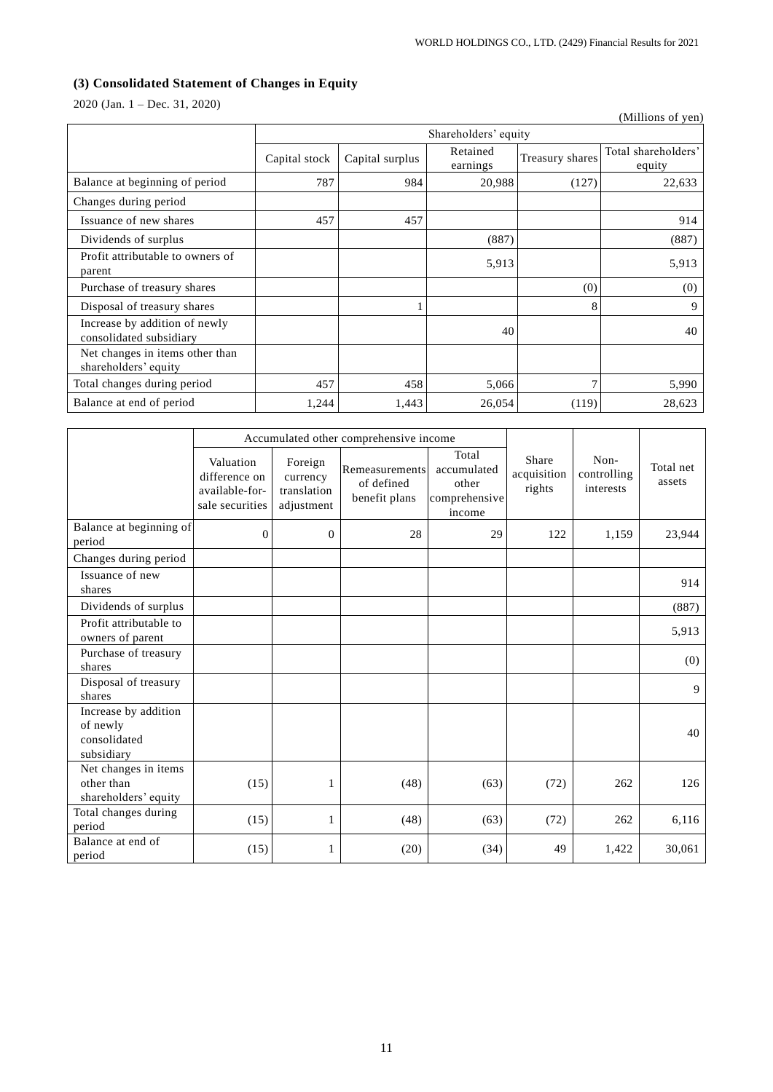# **(3) Consolidated Statement of Changes in Equity**

2020 (Jan. 1 – Dec. 31, 2020)

|                                                          |               |                      |                      |                 | (Millions of yen)             |  |  |
|----------------------------------------------------------|---------------|----------------------|----------------------|-----------------|-------------------------------|--|--|
|                                                          |               | Shareholders' equity |                      |                 |                               |  |  |
|                                                          | Capital stock | Capital surplus      | Retained<br>earnings | Treasury shares | Total shareholders'<br>equity |  |  |
| Balance at beginning of period                           | 787           | 984                  | 20,988               | (127)           | 22,633                        |  |  |
| Changes during period                                    |               |                      |                      |                 |                               |  |  |
| Issuance of new shares                                   | 457           | 457                  |                      |                 | 914                           |  |  |
| Dividends of surplus                                     |               |                      | (887)                |                 | (887)                         |  |  |
| Profit attributable to owners of<br>parent               |               |                      | 5,913                |                 | 5,913                         |  |  |
| Purchase of treasury shares                              |               |                      |                      | (0)             | (0)                           |  |  |
| Disposal of treasury shares                              |               |                      |                      | 8               | 9                             |  |  |
| Increase by addition of newly<br>consolidated subsidiary |               |                      | 40                   |                 | 40                            |  |  |
| Net changes in items other than<br>shareholders' equity  |               |                      |                      |                 |                               |  |  |
| Total changes during period                              | 457           | 458                  | 5,066                | 7               | 5,990                         |  |  |
| Balance at end of period                                 | 1,244         | 1,443                | 26,054               | (119)           | 28,623                        |  |  |

|                                                                | Accumulated other comprehensive income                          |                                                  |                                               |                                                          |                                |                                  |                     |
|----------------------------------------------------------------|-----------------------------------------------------------------|--------------------------------------------------|-----------------------------------------------|----------------------------------------------------------|--------------------------------|----------------------------------|---------------------|
|                                                                | Valuation<br>difference on<br>available-for-<br>sale securities | Foreign<br>currency<br>translation<br>adjustment | Remeasurements<br>of defined<br>benefit plans | Total<br>accumulated<br>other<br>comprehensive<br>income | Share<br>acquisition<br>rights | Non-<br>controlling<br>interests | Total net<br>assets |
| Balance at beginning of<br>period                              | $\mathbf{0}$                                                    | $\Omega$                                         | 28                                            | 29                                                       | 122                            | 1,159                            | 23,944              |
| Changes during period                                          |                                                                 |                                                  |                                               |                                                          |                                |                                  |                     |
| Issuance of new<br>shares                                      |                                                                 |                                                  |                                               |                                                          |                                |                                  | 914                 |
| Dividends of surplus                                           |                                                                 |                                                  |                                               |                                                          |                                |                                  | (887)               |
| Profit attributable to<br>owners of parent                     |                                                                 |                                                  |                                               |                                                          |                                |                                  | 5,913               |
| Purchase of treasury<br>shares                                 |                                                                 |                                                  |                                               |                                                          |                                |                                  | (0)                 |
| Disposal of treasury<br>shares                                 |                                                                 |                                                  |                                               |                                                          |                                |                                  | 9                   |
| Increase by addition<br>of newly<br>consolidated<br>subsidiary |                                                                 |                                                  |                                               |                                                          |                                |                                  | 40                  |
| Net changes in items<br>other than<br>shareholders' equity     | (15)                                                            | 1                                                | (48)                                          | (63)                                                     | (72)                           | 262                              | 126                 |
| Total changes during<br>period                                 | (15)                                                            | 1                                                | (48)                                          | (63)                                                     | (72)                           | 262                              | 6,116               |
| Balance at end of<br>period                                    | (15)                                                            |                                                  | (20)                                          | (34)                                                     | 49                             | 1,422                            | 30,061              |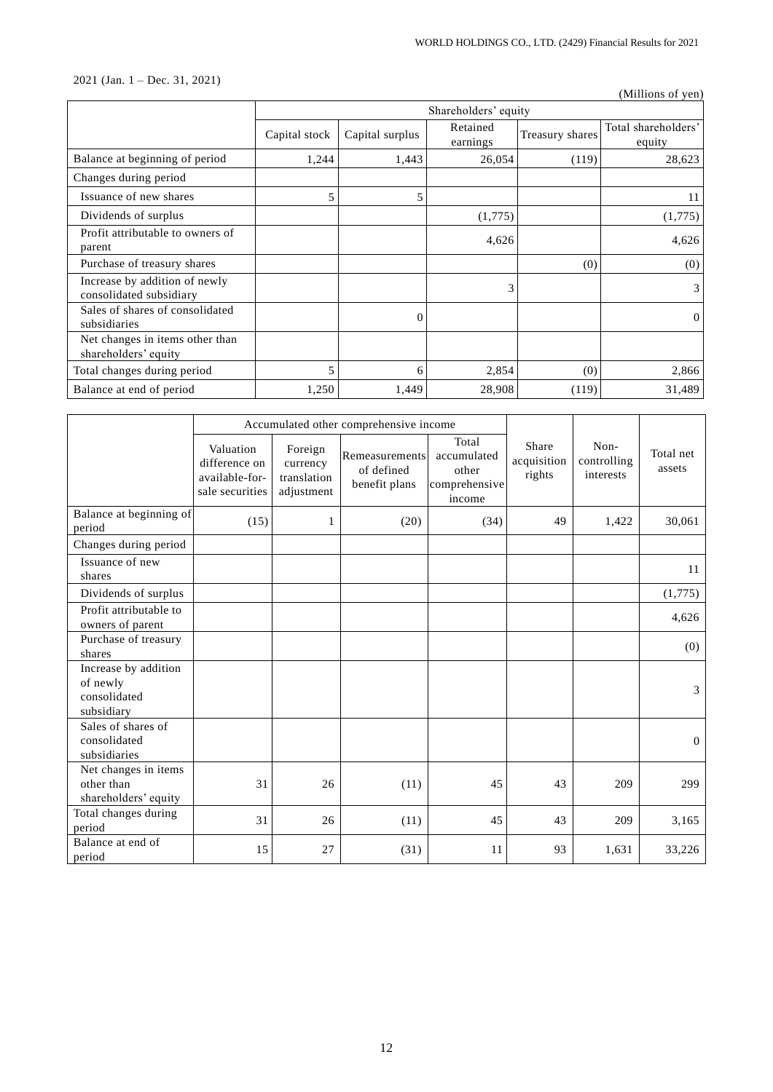# 2021 (Jan. 1 – Dec. 31, 2021)

|                                                          |               |                      |                      |                 | (Millions of yen)             |  |  |
|----------------------------------------------------------|---------------|----------------------|----------------------|-----------------|-------------------------------|--|--|
|                                                          |               | Shareholders' equity |                      |                 |                               |  |  |
|                                                          | Capital stock | Capital surplus      | Retained<br>earnings | Treasury shares | Total shareholders'<br>equity |  |  |
| Balance at beginning of period                           | 1,244         | 1,443                | 26,054               | (119)           | 28,623                        |  |  |
| Changes during period                                    |               |                      |                      |                 |                               |  |  |
| Issuance of new shares                                   | 5             | 5                    |                      |                 | 11                            |  |  |
| Dividends of surplus                                     |               |                      | (1,775)              |                 | (1,775)                       |  |  |
| Profit attributable to owners of<br>parent               |               |                      | 4,626                |                 | 4,626                         |  |  |
| Purchase of treasury shares                              |               |                      |                      | (0)             | (0)                           |  |  |
| Increase by addition of newly<br>consolidated subsidiary |               |                      | 3                    |                 | 3                             |  |  |
| Sales of shares of consolidated<br>subsidiaries          |               | $\Omega$             |                      |                 | $\Omega$                      |  |  |
| Net changes in items other than<br>shareholders' equity  |               |                      |                      |                 |                               |  |  |
| Total changes during period                              | 5             | 6                    | 2,854                | (0)             | 2,866                         |  |  |
| Balance at end of period                                 | 1,250         | 1,449                | 28,908               | (119)           | 31,489                        |  |  |

|                                                                | Accumulated other comprehensive income                          |                                                  |                                               |                                                          |                                |                                  |                     |
|----------------------------------------------------------------|-----------------------------------------------------------------|--------------------------------------------------|-----------------------------------------------|----------------------------------------------------------|--------------------------------|----------------------------------|---------------------|
|                                                                | Valuation<br>difference on<br>available-for-<br>sale securities | Foreign<br>currency<br>translation<br>adjustment | Remeasurements<br>of defined<br>benefit plans | Total<br>accumulated<br>other<br>comprehensive<br>income | Share<br>acquisition<br>rights | Non-<br>controlling<br>interests | Total net<br>assets |
| Balance at beginning of<br>period                              | (15)                                                            | $\mathbf{1}$                                     | (20)                                          | (34)                                                     | 49                             | 1,422                            | 30,061              |
| Changes during period                                          |                                                                 |                                                  |                                               |                                                          |                                |                                  |                     |
| Issuance of new<br>shares                                      |                                                                 |                                                  |                                               |                                                          |                                |                                  | 11                  |
| Dividends of surplus                                           |                                                                 |                                                  |                                               |                                                          |                                |                                  | (1,775)             |
| Profit attributable to<br>owners of parent                     |                                                                 |                                                  |                                               |                                                          |                                |                                  | 4,626               |
| Purchase of treasury<br>shares                                 |                                                                 |                                                  |                                               |                                                          |                                |                                  | (0)                 |
| Increase by addition<br>of newly<br>consolidated<br>subsidiary |                                                                 |                                                  |                                               |                                                          |                                |                                  | 3                   |
| Sales of shares of<br>consolidated<br>subsidiaries             |                                                                 |                                                  |                                               |                                                          |                                |                                  | $\mathbf{0}$        |
| Net changes in items<br>other than<br>shareholders' equity     | 31                                                              | 26                                               | (11)                                          | 45                                                       | 43                             | 209                              | 299                 |
| Total changes during<br>period                                 | 31                                                              | 26                                               | (11)                                          | 45                                                       | 43                             | 209                              | 3,165               |
| Balance at end of<br>period                                    | 15                                                              | 27                                               | (31)                                          | 11                                                       | 93                             | 1,631                            | 33,226              |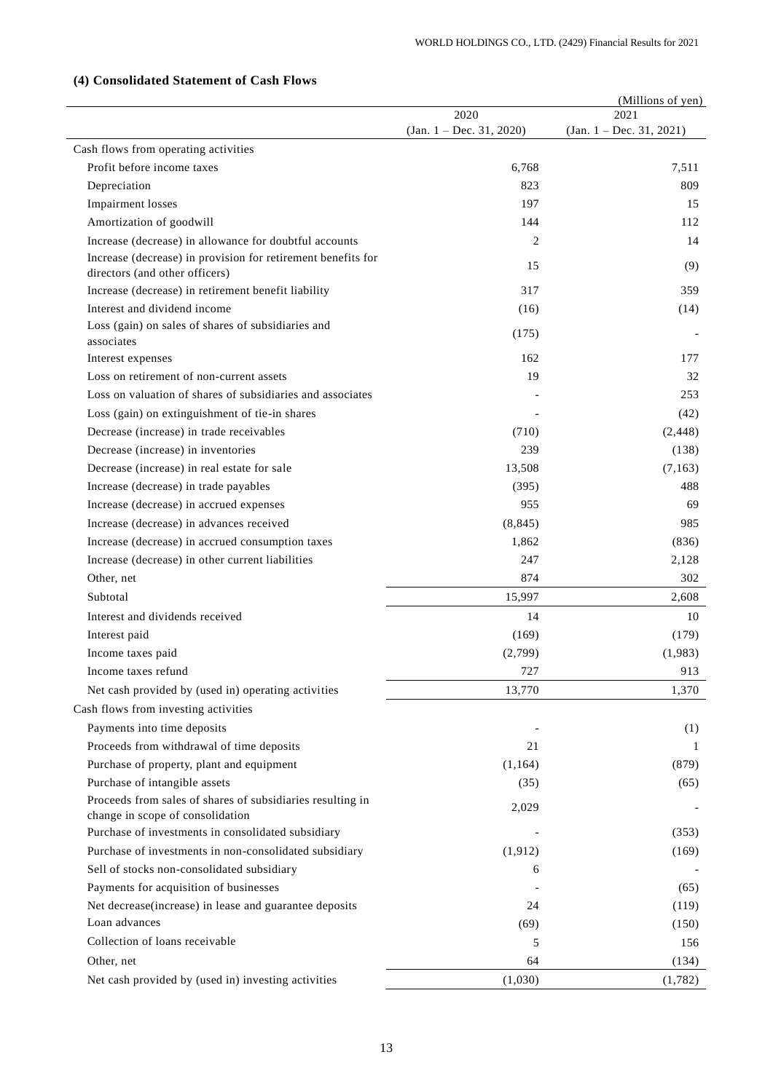|                                                                                    |                                    | (Millions of yen)                   |
|------------------------------------------------------------------------------------|------------------------------------|-------------------------------------|
|                                                                                    | 2020<br>$(Jan. 1 - Dec. 31, 2020)$ | 2021<br>(Jan. $1 - Dec. 31, 2021$ ) |
| Cash flows from operating activities                                               |                                    |                                     |
| Profit before income taxes                                                         | 6,768                              | 7,511                               |
| Depreciation                                                                       | 823                                | 809                                 |
| <b>Impairment</b> losses                                                           | 197                                | 15                                  |
|                                                                                    | 144                                | 112                                 |
| Amortization of goodwill<br>Increase (decrease) in allowance for doubtful accounts | 2                                  | 14                                  |
| Increase (decrease) in provision for retirement benefits for                       |                                    |                                     |
| directors (and other officers)                                                     | 15                                 | (9)                                 |
| Increase (decrease) in retirement benefit liability                                | 317                                | 359                                 |
| Interest and dividend income                                                       | (16)                               | (14)                                |
| Loss (gain) on sales of shares of subsidiaries and<br>associates                   | (175)                              |                                     |
| Interest expenses                                                                  | 162                                | 177                                 |
| Loss on retirement of non-current assets                                           | 19                                 | 32                                  |
| Loss on valuation of shares of subsidiaries and associates                         |                                    | 253                                 |
| Loss (gain) on extinguishment of tie-in shares                                     |                                    | (42)                                |
| Decrease (increase) in trade receivables                                           | (710)                              | (2, 448)                            |
| Decrease (increase) in inventories                                                 | 239                                | (138)                               |
| Decrease (increase) in real estate for sale                                        | 13,508                             | (7, 163)                            |
| Increase (decrease) in trade payables                                              | (395)                              | 488                                 |
| Increase (decrease) in accrued expenses                                            | 955                                | 69                                  |
| Increase (decrease) in advances received                                           | (8, 845)                           | 985                                 |
| Increase (decrease) in accrued consumption taxes                                   | 1,862                              | (836)                               |
| Increase (decrease) in other current liabilities                                   | 247                                | 2,128                               |
| Other, net                                                                         | 874                                | 302                                 |
| Subtotal                                                                           | 15,997                             | 2,608                               |
| Interest and dividends received                                                    | 14                                 | 10                                  |
| Interest paid                                                                      | (169)                              | (179)                               |
| Income taxes paid                                                                  | (2,799)                            | (1,983)                             |
| Income taxes refund                                                                | 727                                | 913                                 |
| Net cash provided by (used in) operating activities                                | 13,770                             | 1,370                               |
| Cash flows from investing activities                                               |                                    |                                     |
| Payments into time deposits                                                        |                                    | (1)                                 |
| Proceeds from withdrawal of time deposits                                          | 21                                 | 1                                   |
| Purchase of property, plant and equipment                                          | (1, 164)                           | (879)                               |
| Purchase of intangible assets                                                      | (35)                               | (65)                                |
| Proceeds from sales of shares of subsidiaries resulting in                         |                                    |                                     |
| change in scope of consolidation                                                   | 2,029                              |                                     |
| Purchase of investments in consolidated subsidiary                                 |                                    | (353)                               |
| Purchase of investments in non-consolidated subsidiary                             | (1, 912)                           | (169)                               |
| Sell of stocks non-consolidated subsidiary                                         | 6                                  |                                     |
| Payments for acquisition of businesses                                             |                                    | (65)                                |
| Net decrease(increase) in lease and guarantee deposits                             | 24                                 | (119)                               |
| Loan advances                                                                      | (69)                               | (150)                               |
| Collection of loans receivable                                                     | 5                                  | 156                                 |
| Other, net                                                                         | 64                                 | (134)                               |
| Net cash provided by (used in) investing activities                                | (1,030)                            | (1,782)                             |

# **(4) Consolidated Statement of Cash Flows**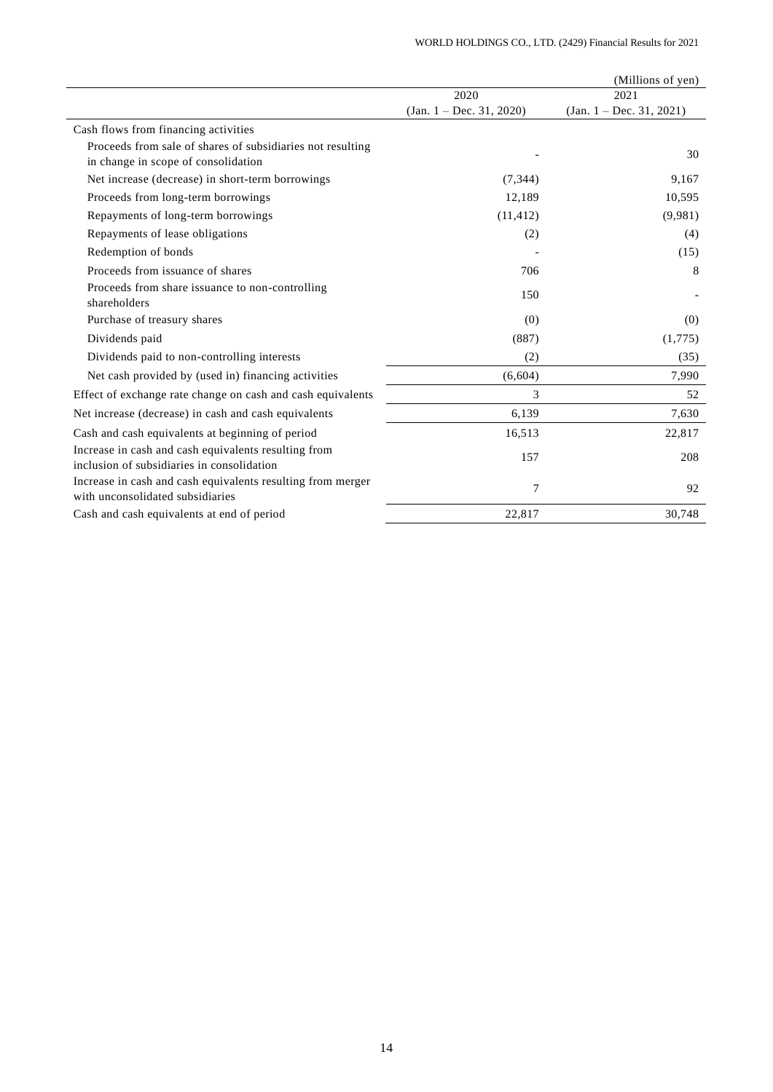|                                                                                                    |                          | (Millions of yen)          |
|----------------------------------------------------------------------------------------------------|--------------------------|----------------------------|
|                                                                                                    | 2020                     | 2021                       |
|                                                                                                    | (Jan. 1 – Dec. 31, 2020) | $(Jan. 1 - Dec. 31, 2021)$ |
| Cash flows from financing activities                                                               |                          |                            |
| Proceeds from sale of shares of subsidiaries not resulting<br>in change in scope of consolidation  |                          | 30                         |
| Net increase (decrease) in short-term borrowings                                                   | (7, 344)                 | 9,167                      |
| Proceeds from long-term borrowings                                                                 | 12,189                   | 10,595                     |
| Repayments of long-term borrowings                                                                 | (11, 412)                | (9,981)                    |
| Repayments of lease obligations                                                                    | (2)                      | (4)                        |
| Redemption of bonds                                                                                |                          | (15)                       |
| Proceeds from issuance of shares                                                                   | 706                      | 8                          |
| Proceeds from share issuance to non-controlling<br>shareholders                                    | 150                      |                            |
| Purchase of treasury shares                                                                        | (0)                      | (0)                        |
| Dividends paid                                                                                     | (887)                    | (1,775)                    |
| Dividends paid to non-controlling interests                                                        | (2)                      | (35)                       |
| Net cash provided by (used in) financing activities                                                | (6,604)                  | 7,990                      |
| Effect of exchange rate change on cash and cash equivalents                                        | 3                        | 52                         |
| Net increase (decrease) in cash and cash equivalents                                               | 6,139                    | 7,630                      |
| Cash and cash equivalents at beginning of period                                                   | 16,513                   | 22,817                     |
| Increase in cash and cash equivalents resulting from<br>inclusion of subsidiaries in consolidation | 157                      | 208                        |
| Increase in cash and cash equivalents resulting from merger<br>with unconsolidated subsidiaries    | 7                        | 92                         |
| Cash and cash equivalents at end of period                                                         | 22,817                   | 30,748                     |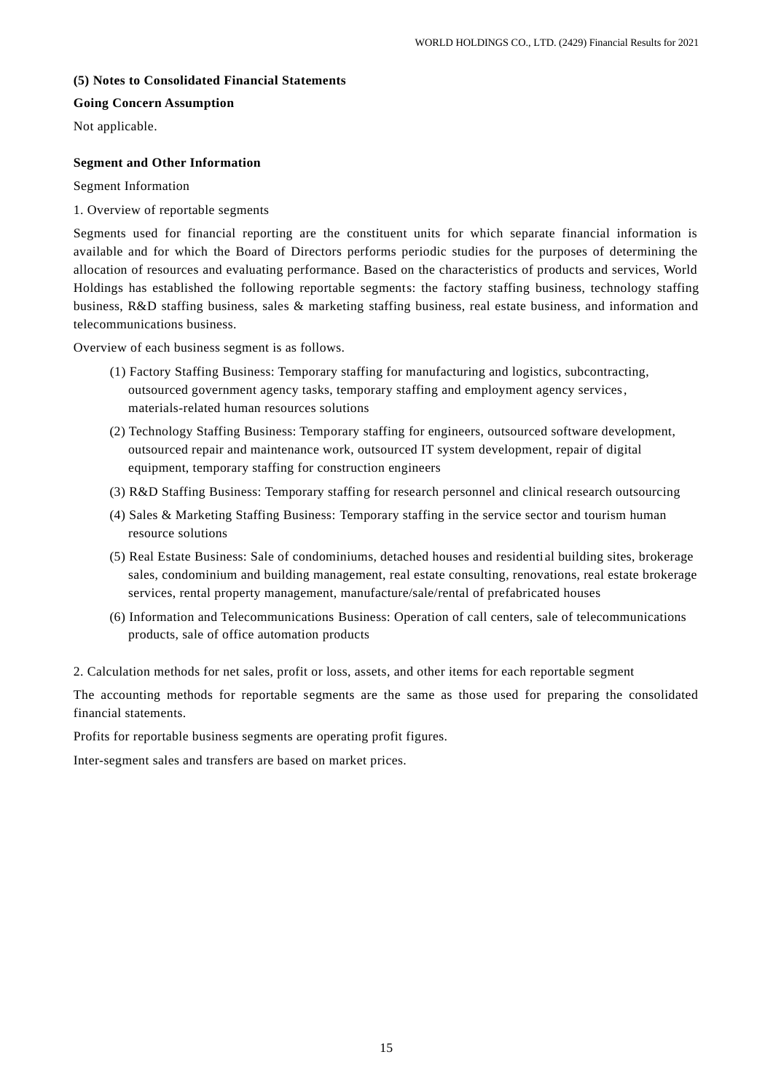# **(5) Notes to Consolidated Financial Statements**

### **Going Concern Assumption**

Not applicable.

# **Segment and Other Information**

### Segment Information

1. Overview of reportable segments

Segments used for financial reporting are the constituent units for which separate financial information is available and for which the Board of Directors performs periodic studies for the purposes of determining the allocation of resources and evaluating performance. Based on the characteristics of products and services, World Holdings has established the following reportable segments: the factory staffing business, technology staffing business, R&D staffing business, sales & marketing staffing business, real estate business, and information and telecommunications business.

Overview of each business segment is as follows.

- (1) Factory Staffing Business: Temporary staffing for manufacturing and logistics, subcontracting, outsourced government agency tasks, temporary staffing and employment agency services, materials-related human resources solutions
- (2) Technology Staffing Business: Temporary staffing for engineers, outsourced software development, outsourced repair and maintenance work, outsourced IT system development, repair of digital equipment, temporary staffing for construction engineers
- (3) R&D Staffing Business: Temporary staffing for research personnel and clinical research outsourcing
- (4) Sales & Marketing Staffing Business: Temporary staffing in the service sector and tourism human resource solutions
- (5) Real Estate Business: Sale of condominiums, detached houses and residential building sites, brokerage sales, condominium and building management, real estate consulting, renovations, real estate brokerage services, rental property management, manufacture/sale/rental of prefabricated houses
- (6) Information and Telecommunications Business: Operation of call centers, sale of telecommunications products, sale of office automation products

2. Calculation methods for net sales, profit or loss, assets, and other items for each reportable segment

The accounting methods for reportable segments are the same as those used for preparing the consolidated financial statements.

Profits for reportable business segments are operating profit figures.

Inter-segment sales and transfers are based on market prices.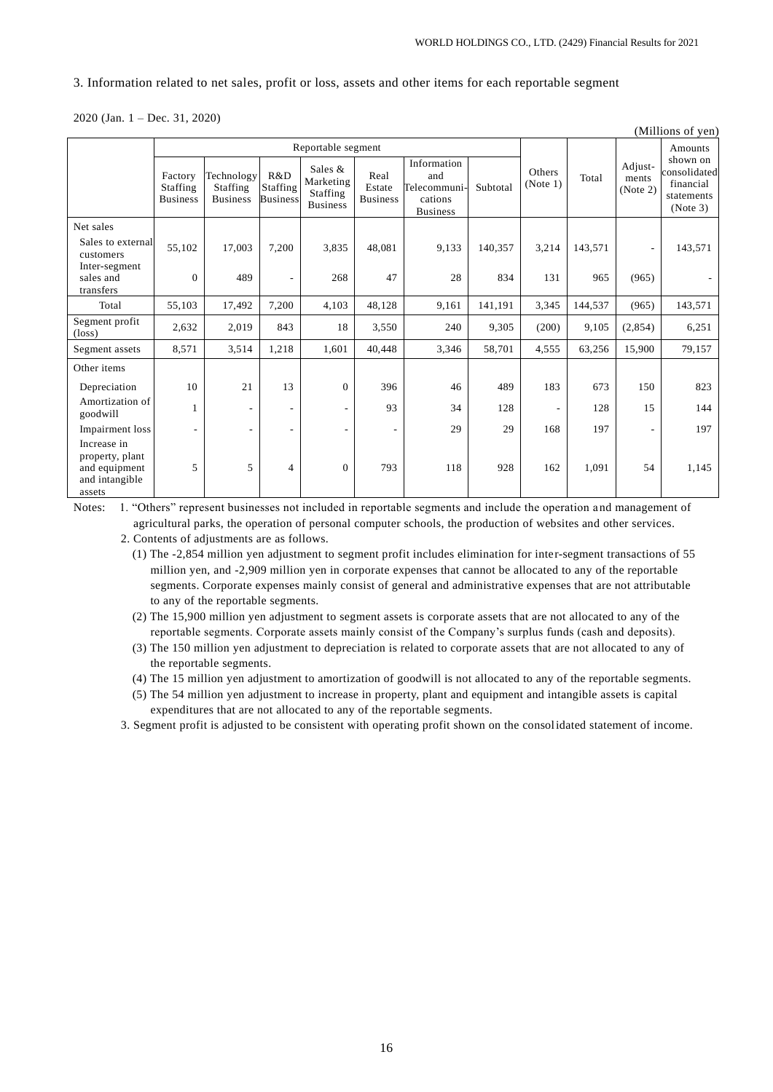$(M)$ llions of  $y$ 

### 3. Information related to net sales, profit or loss, assets and other items for each reportable segment

2020 (Jan. 1 – Dec. 31, 2020)

|                                                                             |                                        |                                           |                                    |                                                            |                                   |                                                                  |          |                          |         |                              | $($ whilions of $y$ en $)$                                      |
|-----------------------------------------------------------------------------|----------------------------------------|-------------------------------------------|------------------------------------|------------------------------------------------------------|-----------------------------------|------------------------------------------------------------------|----------|--------------------------|---------|------------------------------|-----------------------------------------------------------------|
|                                                                             | Reportable segment                     |                                           |                                    |                                                            |                                   |                                                                  |          |                          |         |                              | Amounts                                                         |
|                                                                             | Factory<br>Staffing<br><b>Business</b> | Technology<br>Staffing<br><b>Business</b> | R&D<br>Staffing<br><b>Business</b> | Sales &<br>Marketing<br><b>Staffing</b><br><b>Business</b> | Real<br>Estate<br><b>Business</b> | Information<br>and<br>Telecommuni-<br>cations<br><b>Business</b> | Subtotal | Others<br>(Note 1)       | Total   | Adjust-<br>ments<br>(Note 2) | shown on<br>consolidated<br>financial<br>statements<br>(Note 3) |
| Net sales                                                                   |                                        |                                           |                                    |                                                            |                                   |                                                                  |          |                          |         |                              |                                                                 |
| Sales to external<br>customers                                              | 55,102                                 | 17,003                                    | 7,200                              | 3,835                                                      | 48,081                            | 9,133                                                            | 140,357  | 3,214                    | 143,571 |                              | 143,571                                                         |
| Inter-segment<br>sales and<br>transfers                                     | $\overline{0}$                         | 489                                       |                                    | 268                                                        | 47                                | 28                                                               | 834      | 131                      | 965     | (965)                        |                                                                 |
| Total                                                                       | 55,103                                 | 17,492                                    | 7,200                              | 4,103                                                      | 48,128                            | 9,161                                                            | 141,191  | 3,345                    | 144,537 | (965)                        | 143,571                                                         |
| Segment profit<br>$(\text{loss})$                                           | 2,632                                  | 2,019                                     | 843                                | 18                                                         | 3,550                             | 240                                                              | 9,305    | (200)                    | 9,105   | (2,854)                      | 6,251                                                           |
| Segment assets                                                              | 8,571                                  | 3,514                                     | 1,218                              | 1,601                                                      | 40.448                            | 3,346                                                            | 58,701   | 4,555                    | 63,256  | 15,900                       | 79,157                                                          |
| Other items                                                                 |                                        |                                           |                                    |                                                            |                                   |                                                                  |          |                          |         |                              |                                                                 |
| Depreciation                                                                | 10                                     | 21                                        | 13                                 | $\mathbf{0}$                                               | 396                               | 46                                                               | 489      | 183                      | 673     | 150                          | 823                                                             |
| Amortization of<br>goodwill                                                 | 1                                      | $\qquad \qquad -$                         | ٠                                  | $\overline{\phantom{0}}$                                   | 93                                | 34                                                               | 128      | $\overline{\phantom{a}}$ | 128     | 15                           | 144                                                             |
| Impairment loss                                                             | $\overline{a}$                         | ٠                                         | ٠                                  | ٠                                                          |                                   | 29                                                               | 29       | 168                      | 197     |                              | 197                                                             |
| Increase in<br>property, plant<br>and equipment<br>and intangible<br>assets | 5                                      | 5                                         | 4                                  | $\mathbf{0}$                                               | 793                               | 118                                                              | 928      | 162                      | 1,091   | 54                           | 1,145                                                           |

Notes: 1. "Others" represent businesses not included in reportable segments and include the operation and management of agricultural parks, the operation of personal computer schools, the production of websites and other services.

2. Contents of adjustments are as follows.

(1) The -2,854 million yen adjustment to segment profit includes elimination for inter-segment transactions of 55 million yen, and -2,909 million yen in corporate expenses that cannot be allocated to any of the reportable segments. Corporate expenses mainly consist of general and administrative expenses that are not attributable to any of the reportable segments.

(2) The 15,900 million yen adjustment to segment assets is corporate assets that are not allocated to any of the reportable segments. Corporate assets mainly consist of the Company's surplus funds (cash and deposits).

(3) The 150 million yen adjustment to depreciation is related to corporate assets that are not allocated to any of the reportable segments.

(4) The 15 million yen adjustment to amortization of goodwill is not allocated to any of the reportable segments.

(5) The 54 million yen adjustment to increase in property, plant and equipment and intangible assets is capital expenditures that are not allocated to any of the reportable segments.

3. Segment profit is adjusted to be consistent with operating profit shown on the consolidated statement of income.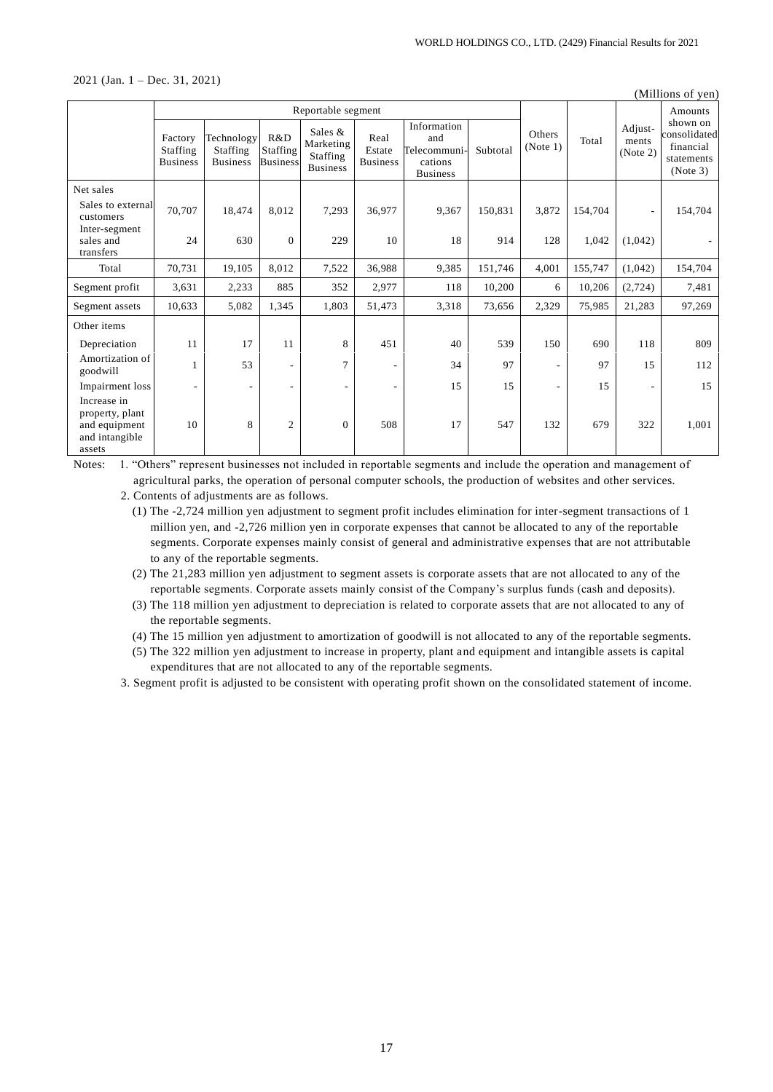2021 (Jan. 1 – Dec. 31, 2021)

| (Millions of yen)                                                           |                                        |                                           |                                    |                                                            |                                   |                                                                  |          |                          |         |                              |                                                                 |
|-----------------------------------------------------------------------------|----------------------------------------|-------------------------------------------|------------------------------------|------------------------------------------------------------|-----------------------------------|------------------------------------------------------------------|----------|--------------------------|---------|------------------------------|-----------------------------------------------------------------|
|                                                                             | Reportable segment                     |                                           |                                    |                                                            |                                   |                                                                  |          |                          |         | Amounts                      |                                                                 |
|                                                                             | Factory<br>Staffing<br><b>Business</b> | Technology<br>Staffing<br><b>Business</b> | R&D<br>Staffing<br><b>Business</b> | Sales &<br>Marketing<br><b>Staffing</b><br><b>Business</b> | Real<br>Estate<br><b>Business</b> | Information<br>and<br>Telecommuni-<br>cations<br><b>Business</b> | Subtotal | Others<br>(Note 1)       | Total   | Adjust-<br>ments<br>(Note 2) | shown on<br>consolidated<br>financial<br>statements<br>(Note 3) |
| Net sales                                                                   |                                        |                                           |                                    |                                                            |                                   |                                                                  |          |                          |         |                              |                                                                 |
| Sales to external<br>customers                                              | 70,707                                 | 18,474                                    | 8,012                              | 7,293                                                      | 36,977                            | 9,367                                                            | 150,831  | 3,872                    | 154,704 |                              | 154,704                                                         |
| Inter-segment<br>sales and<br>transfers                                     | 24                                     | 630                                       | $\mathbf{0}$                       | 229                                                        | 10                                | 18                                                               | 914      | 128                      | 1,042   | (1,042)                      |                                                                 |
| Total                                                                       | 70,731                                 | 19,105                                    | 8,012                              | 7,522                                                      | 36,988                            | 9,385                                                            | 151,746  | 4,001                    | 155,747 | (1,042)                      | 154,704                                                         |
| Segment profit                                                              | 3,631                                  | 2,233                                     | 885                                | 352                                                        | 2,977                             | 118                                                              | 10,200   | 6                        | 10,206  | (2,724)                      | 7,481                                                           |
| Segment assets                                                              | 10,633                                 | 5,082                                     | 1,345                              | 1,803                                                      | 51,473                            | 3,318                                                            | 73,656   | 2,329                    | 75,985  | 21,283                       | 97,269                                                          |
| Other items                                                                 |                                        |                                           |                                    |                                                            |                                   |                                                                  |          |                          |         |                              |                                                                 |
| Depreciation                                                                | 11                                     | 17                                        | 11                                 | 8                                                          | 451                               | 40                                                               | 539      | 150                      | 690     | 118                          | 809                                                             |
| Amortization of<br>goodwill                                                 | 1                                      | 53                                        |                                    | 7                                                          |                                   | 34                                                               | 97       | $\overline{\phantom{a}}$ | 97      | 15                           | 112                                                             |
| Impairment loss                                                             | ۰.                                     | $\qquad \qquad -$                         |                                    | ٠                                                          |                                   | 15                                                               | 15       | $\overline{\phantom{a}}$ | 15      |                              | 15                                                              |
| Increase in<br>property, plant<br>and equipment<br>and intangible<br>assets | 10                                     | 8                                         | $\overline{2}$                     | $\theta$                                                   | 508                               | 17                                                               | 547      | 132                      | 679     | 322                          | 1,001                                                           |

Notes: 1. "Others" represent businesses not included in reportable segments and include the operation and management of agricultural parks, the operation of personal computer schools, the production of websites and other services.

- (3) The 118 million yen adjustment to depreciation is related to corporate assets that are not allocated to any of the reportable segments.
- (4) The 15 million yen adjustment to amortization of goodwill is not allocated to any of the reportable segments.
- (5) The 322 million yen adjustment to increase in property, plant and equipment and intangible assets is capital expenditures that are not allocated to any of the reportable segments.

3. Segment profit is adjusted to be consistent with operating profit shown on the consolidated statement of income.

<sup>2.</sup> Contents of adjustments are as follows.

<sup>(1)</sup> The -2,724 million yen adjustment to segment profit includes elimination for inter-segment transactions of 1 million yen, and -2,726 million yen in corporate expenses that cannot be allocated to any of the reportable segments. Corporate expenses mainly consist of general and administrative expenses that are not attributable to any of the reportable segments.

<sup>(2)</sup> The 21,283 million yen adjustment to segment assets is corporate assets that are not allocated to any of the reportable segments. Corporate assets mainly consist of the Company's surplus funds (cash and deposits).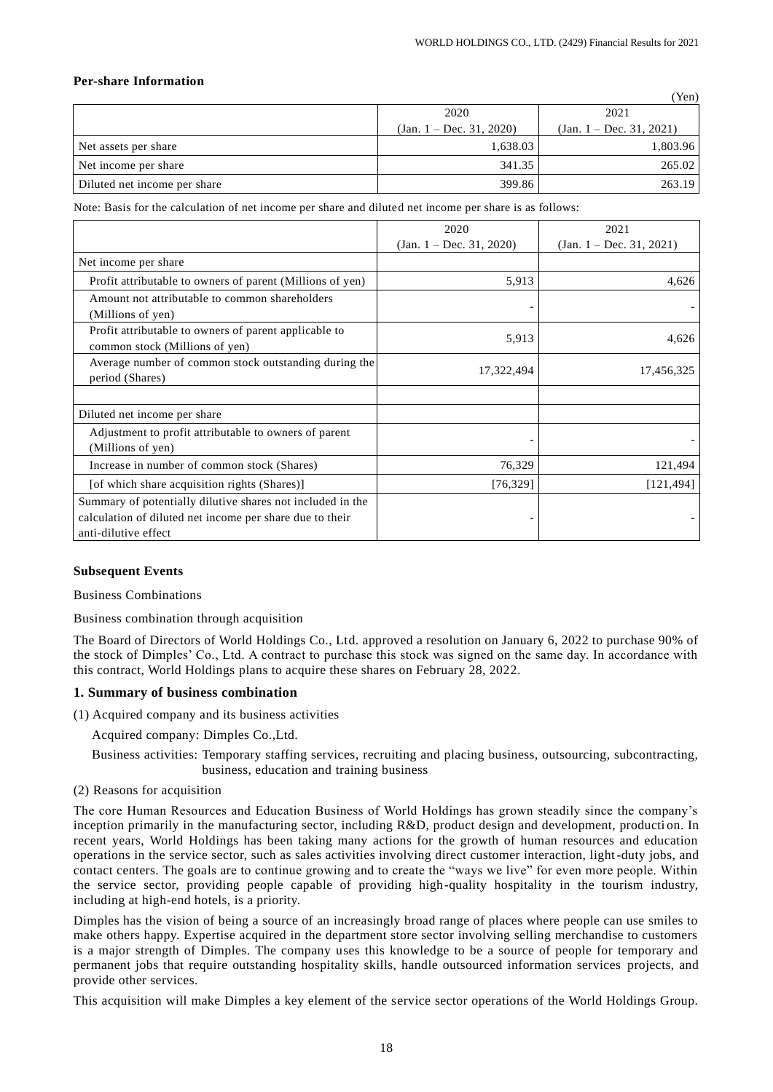#### **Per-share Information**

|                              |                             | (Yen)                      |  |
|------------------------------|-----------------------------|----------------------------|--|
|                              | 2020                        | 2021                       |  |
|                              | (Jan. $1 - Dec. 31, 2020$ ) | $(Jan. 1 - Dec. 31, 2021)$ |  |
| Net assets per share         | 1,638.03                    | 1,803.96                   |  |
| Net income per share         | 341.35                      | 265.02                     |  |
| Diluted net income per share | 399.86                      | 263.19                     |  |

Note: Basis for the calculation of net income per share and diluted net income per share is as follows:

|                                                                                                                                                | 2020                        | 2021                       |
|------------------------------------------------------------------------------------------------------------------------------------------------|-----------------------------|----------------------------|
|                                                                                                                                                | (Jan. $1 - Dec. 31, 2020$ ) | $(Jan. 1 - Dec. 31, 2021)$ |
| Net income per share                                                                                                                           |                             |                            |
| Profit attributable to owners of parent (Millions of yen)                                                                                      | 5,913                       | 4,626                      |
| Amount not attributable to common shareholders<br>(Millions of yen)                                                                            |                             |                            |
| Profit attributable to owners of parent applicable to<br>common stock (Millions of yen)                                                        | 5,913                       | 4,626                      |
| Average number of common stock outstanding during the<br>period (Shares)                                                                       | 17,322,494                  | 17,456,325                 |
|                                                                                                                                                |                             |                            |
| Diluted net income per share                                                                                                                   |                             |                            |
| Adjustment to profit attributable to owners of parent<br>(Millions of yen)                                                                     |                             |                            |
| Increase in number of common stock (Shares)                                                                                                    | 76,329                      | 121,494                    |
| [of which share acquisition rights (Shares)]                                                                                                   | [76, 329]                   | [121, 494]                 |
| Summary of potentially dilutive shares not included in the<br>calculation of diluted net income per share due to their<br>anti-dilutive effect |                             |                            |

#### **Subsequent Events**

Business Combinations

Business combination through acquisition

The Board of Directors of World Holdings Co., Ltd. approved a resolution on January 6, 2022 to purchase 90% of the stock of Dimples' Co., Ltd. A contract to purchase this stock was signed on the same day. In accordance with this contract, World Holdings plans to acquire these shares on February 28, 2022.

### **1. Summary of business combination**

- (1) Acquired company and its business activities
	- Acquired company: Dimples Co.,Ltd.

Business activities: Temporary staffing services, recruiting and placing business, outsourcing, subcontracting, business, education and training business

(2) Reasons for acquisition

The core Human Resources and Education Business of World Holdings has grown steadily since the company's inception primarily in the manufacturing sector, including R&D, product design and development, production. In recent years, World Holdings has been taking many actions for the growth of human resources and education operations in the service sector, such as sales activities involving direct customer interaction, light-duty jobs, and contact centers. The goals are to continue growing and to create the "ways we live" for even more people. Within the service sector, providing people capable of providing high-quality hospitality in the tourism industry, including at high-end hotels, is a priority.

Dimples has the vision of being a source of an increasingly broad range of places where people can use smiles to make others happy. Expertise acquired in the department store sector involving selling merchandise to customers is a major strength of Dimples. The company uses this knowledge to be a source of people for temporary and permanent jobs that require outstanding hospitality skills, handle outsourced information services projects, and provide other services.

This acquisition will make Dimples a key element of the service sector operations of the World Holdings Group.